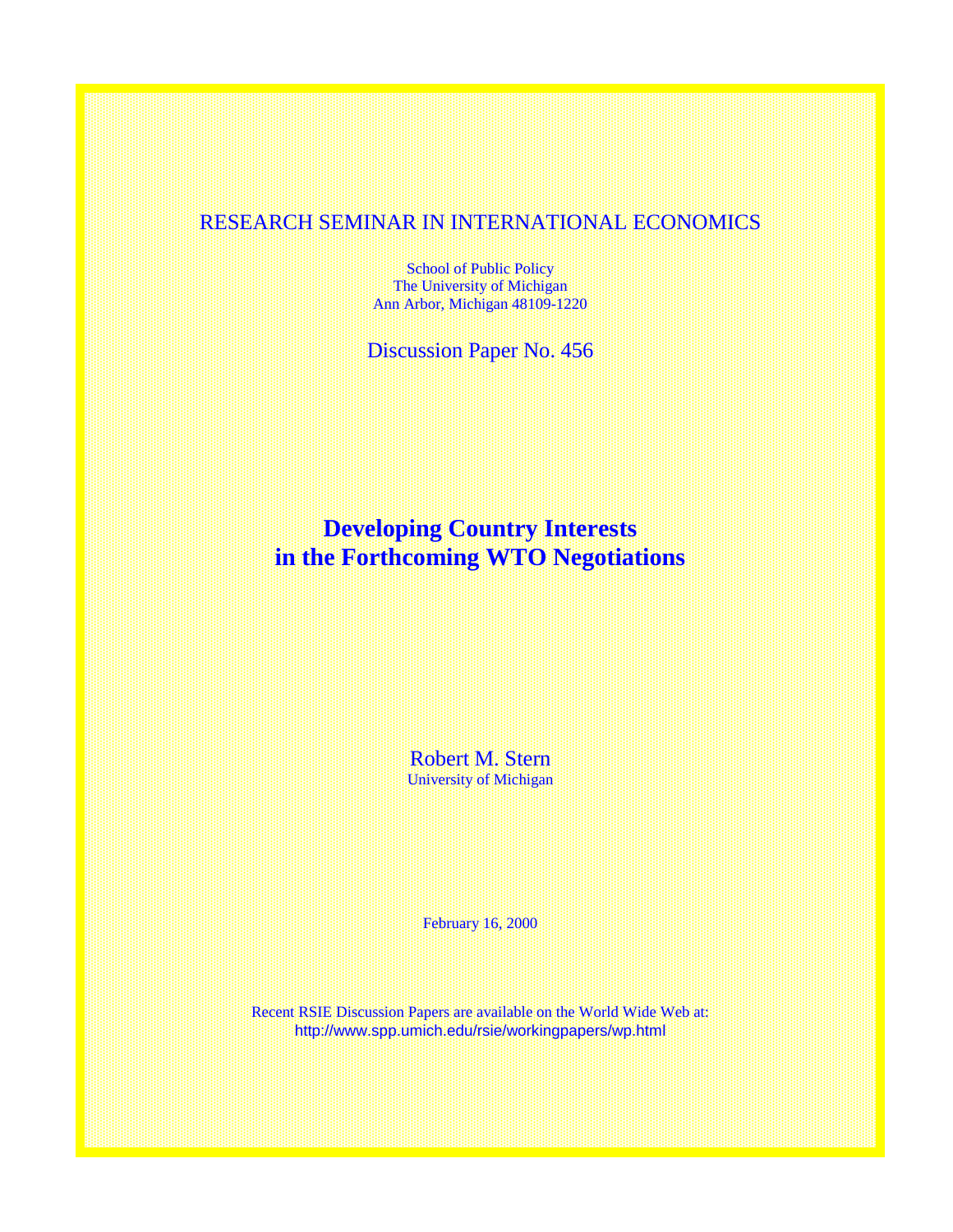## RESEARCH SEMINAR IN INTERNATIONAL ECONOMICS

School of Public Policy The University of Michigan Ann Arbor, Michigan 48109-1220

Discussion Paper No. 456

# **Developing Country Interests in the Forthcoming WTO Negotiations**

Robert M. Stern University of Michigan

February 16, 2000

Recent RSIE Discussion Papers are available on the World Wide Web at: http://www.spp.umich.edu/rsie/workingpapers/wp.html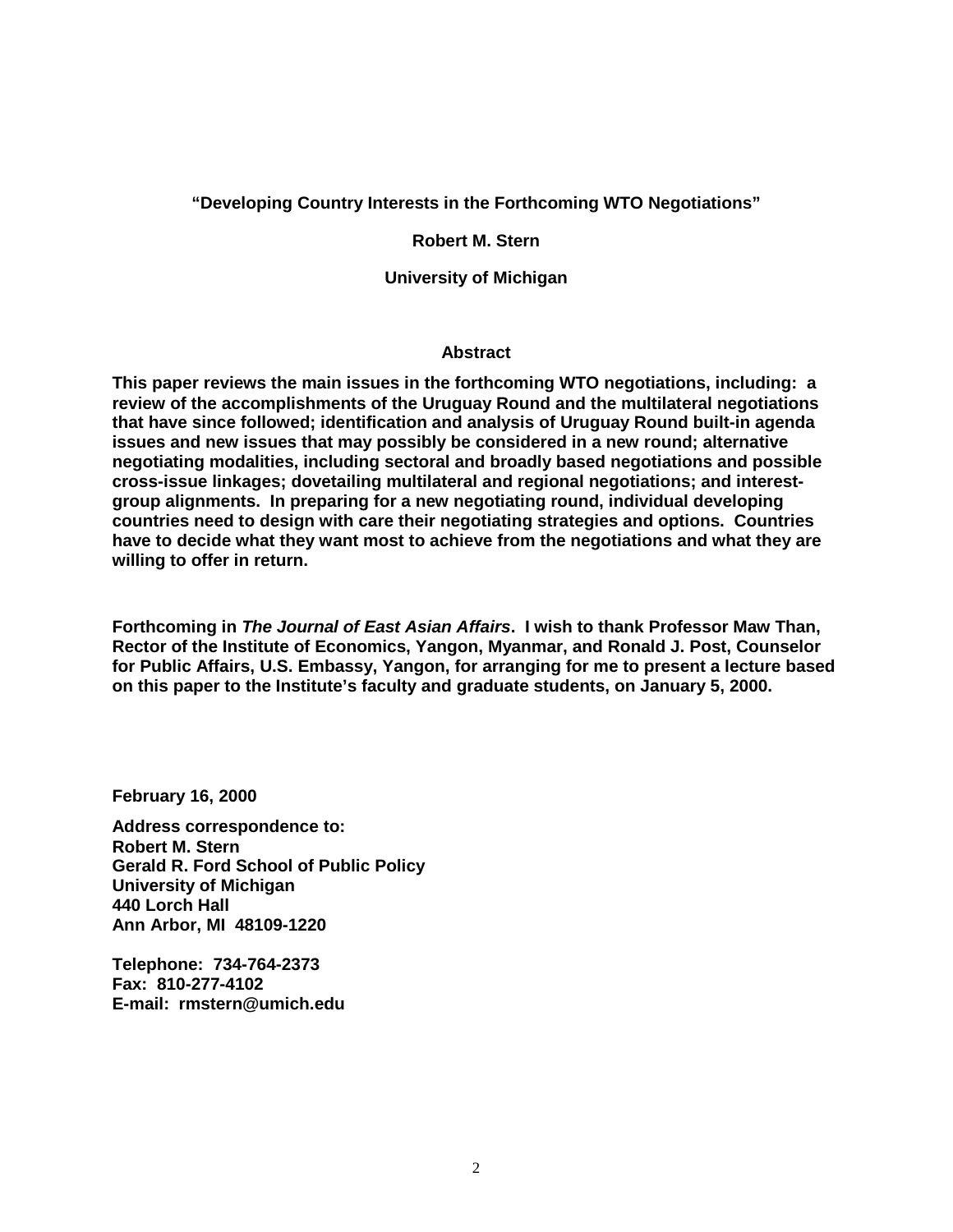## **"Developing Country Interests in the Forthcoming WTO Negotiations"**

## **Robert M. Stern**

## **University of Michigan**

## **Abstract**

**This paper reviews the main issues in the forthcoming WTO negotiations, including: a review of the accomplishments of the Uruguay Round and the multilateral negotiations that have since followed; identification and analysis of Uruguay Round built-in agenda issues and new issues that may possibly be considered in a new round; alternative negotiating modalities, including sectoral and broadly based negotiations and possible cross-issue linkages; dovetailing multilateral and regional negotiations; and interestgroup alignments. In preparing for a new negotiating round, individual developing countries need to design with care their negotiating strategies and options. Countries have to decide what they want most to achieve from the negotiations and what they are willing to offer in return.**

**Forthcoming in The Journal of East Asian Affairs. I wish to thank Professor Maw Than, Rector of the Institute of Economics, Yangon, Myanmar, and Ronald J. Post, Counselor for Public Affairs, U.S. Embassy, Yangon, for arranging for me to present a lecture based on this paper to the Institute's faculty and graduate students, on January 5, 2000.**

**February 16, 2000**

**Address correspondence to: Robert M. Stern Gerald R. Ford School of Public Policy University of Michigan 440 Lorch Hall Ann Arbor, MI 48109-1220**

**Telephone: 734-764-2373 Fax: 810-277-4102 E-mail: rmstern@umich.edu**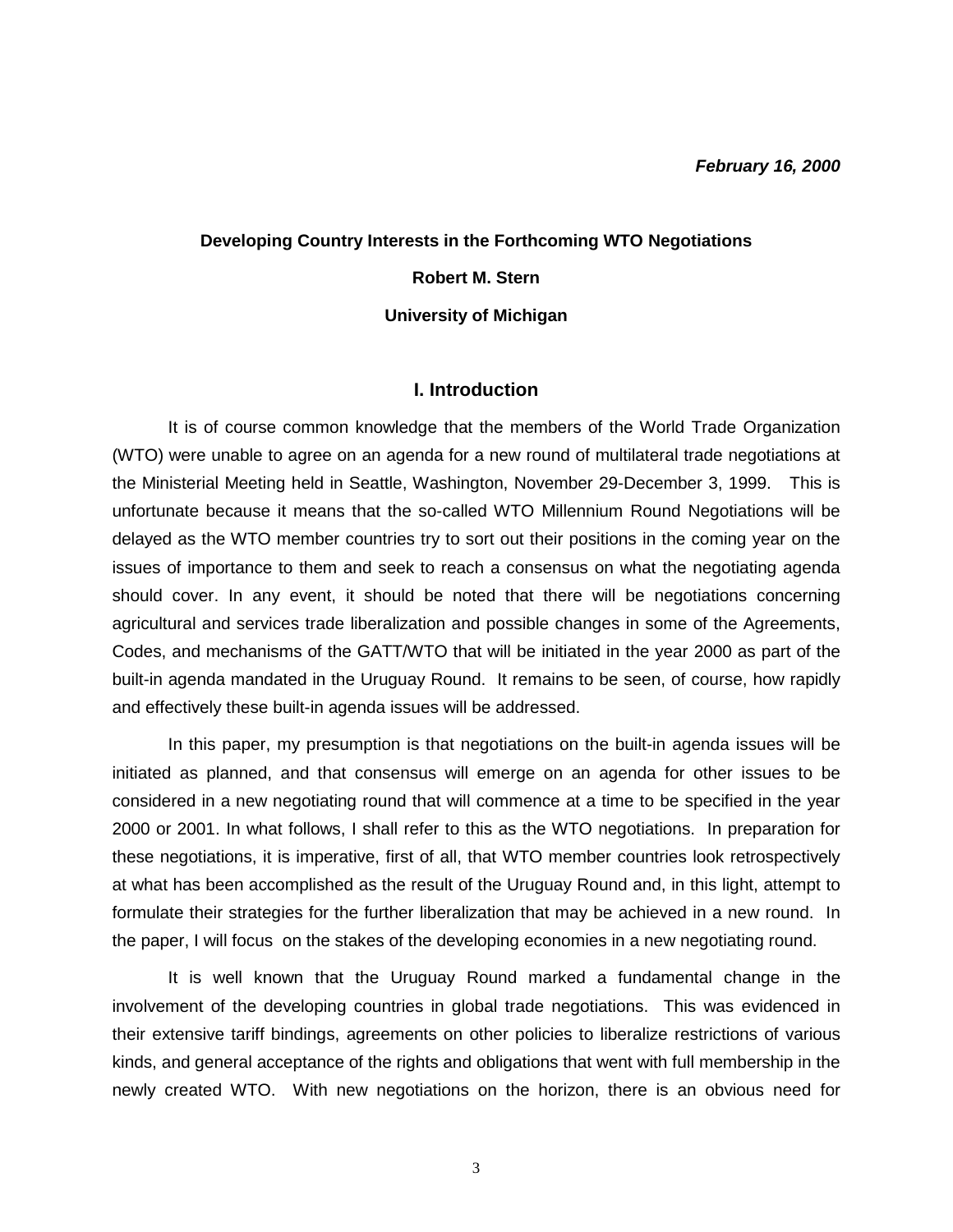# **Developing Country Interests in the Forthcoming WTO Negotiations Robert M. Stern University of Michigan**

## **I. Introduction**

It is of course common knowledge that the members of the World Trade Organization (WTO) were unable to agree on an agenda for a new round of multilateral trade negotiations at the Ministerial Meeting held in Seattle, Washington, November 29-December 3, 1999. This is unfortunate because it means that the so-called WTO Millennium Round Negotiations will be delayed as the WTO member countries try to sort out their positions in the coming year on the issues of importance to them and seek to reach a consensus on what the negotiating agenda should cover. In any event, it should be noted that there will be negotiations concerning agricultural and services trade liberalization and possible changes in some of the Agreements, Codes, and mechanisms of the GATT/WTO that will be initiated in the year 2000 as part of the built-in agenda mandated in the Uruguay Round. It remains to be seen, of course, how rapidly and effectively these built-in agenda issues will be addressed.

In this paper, my presumption is that negotiations on the built-in agenda issues will be initiated as planned, and that consensus will emerge on an agenda for other issues to be considered in a new negotiating round that will commence at a time to be specified in the year 2000 or 2001. In what follows, I shall refer to this as the WTO negotiations. In preparation for these negotiations, it is imperative, first of all, that WTO member countries look retrospectively at what has been accomplished as the result of the Uruguay Round and, in this light, attempt to formulate their strategies for the further liberalization that may be achieved in a new round. In the paper, I will focus on the stakes of the developing economies in a new negotiating round.

It is well known that the Uruguay Round marked a fundamental change in the involvement of the developing countries in global trade negotiations. This was evidenced in their extensive tariff bindings, agreements on other policies to liberalize restrictions of various kinds, and general acceptance of the rights and obligations that went with full membership in the newly created WTO. With new negotiations on the horizon, there is an obvious need for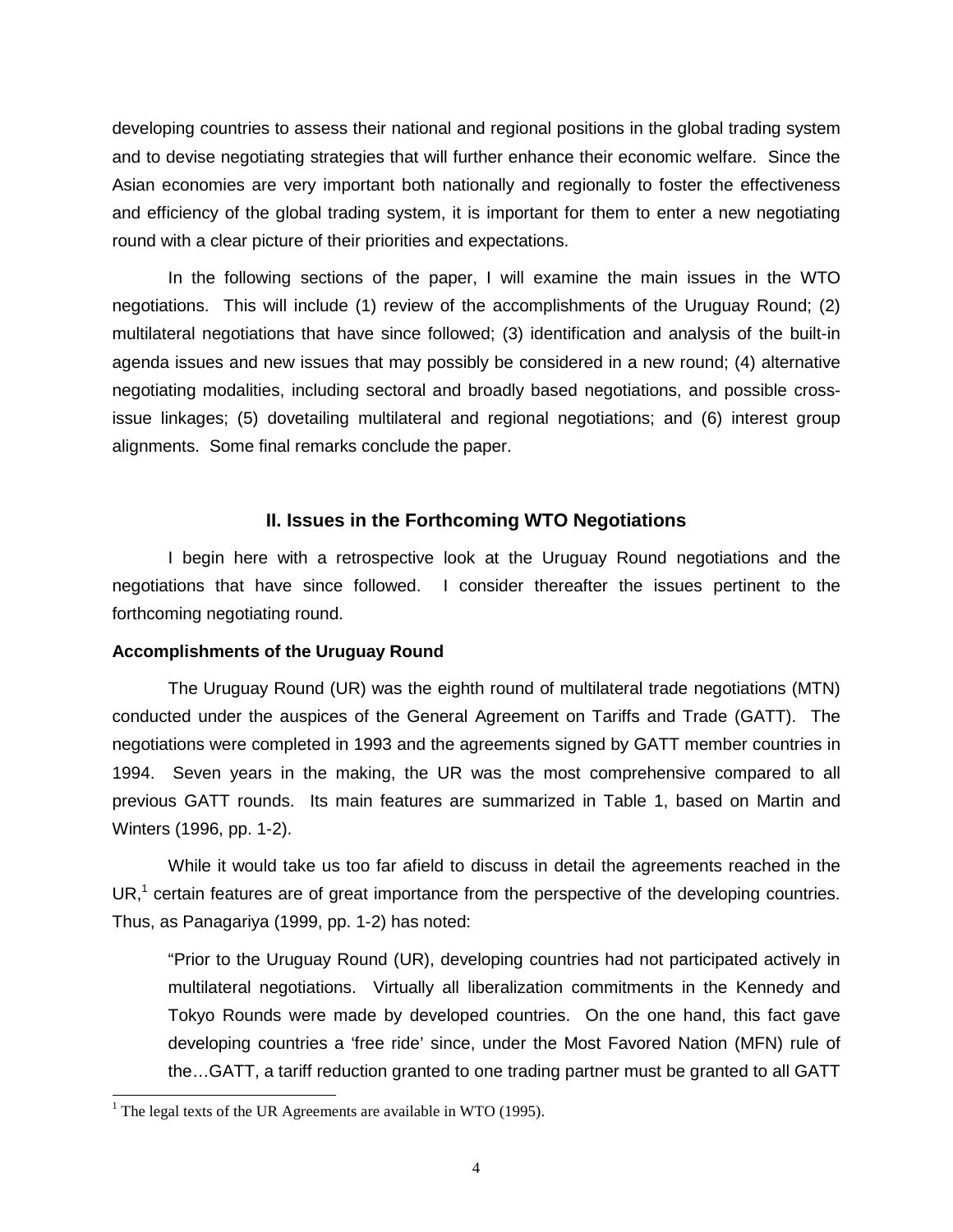developing countries to assess their national and regional positions in the global trading system and to devise negotiating strategies that will further enhance their economic welfare. Since the Asian economies are very important both nationally and regionally to foster the effectiveness and efficiency of the global trading system, it is important for them to enter a new negotiating round with a clear picture of their priorities and expectations.

In the following sections of the paper, I will examine the main issues in the WTO negotiations. This will include (1) review of the accomplishments of the Uruguay Round; (2) multilateral negotiations that have since followed; (3) identification and analysis of the built-in agenda issues and new issues that may possibly be considered in a new round; (4) alternative negotiating modalities, including sectoral and broadly based negotiations, and possible crossissue linkages; (5) dovetailing multilateral and regional negotiations; and (6) interest group alignments. Some final remarks conclude the paper.

## **II. Issues in the Forthcoming WTO Negotiations**

I begin here with a retrospective look at the Uruguay Round negotiations and the negotiations that have since followed. I consider thereafter the issues pertinent to the forthcoming negotiating round.

## **Accomplishments of the Uruguay Round**

The Uruguay Round (UR) was the eighth round of multilateral trade negotiations (MTN) conducted under the auspices of the General Agreement on Tariffs and Trade (GATT). The negotiations were completed in 1993 and the agreements signed by GATT member countries in 1994. Seven years in the making, the UR was the most comprehensive compared to all previous GATT rounds. Its main features are summarized in Table 1, based on Martin and Winters (1996, pp. 1-2).

While it would take us too far afield to discuss in detail the agreements reached in the UR, $1$  certain features are of great importance from the perspective of the developing countries. Thus, as Panagariya (1999, pp. 1-2) has noted:

"Prior to the Uruguay Round (UR), developing countries had not participated actively in multilateral negotiations. Virtually all liberalization commitments in the Kennedy and Tokyo Rounds were made by developed countries. On the one hand, this fact gave developing countries a 'free ride' since, under the Most Favored Nation (MFN) rule of the…GATT, a tariff reduction granted to one trading partner must be granted to all GATT

 $\overline{a}$ 

<sup>&</sup>lt;sup>1</sup> The legal texts of the UR Agreements are available in WTO (1995).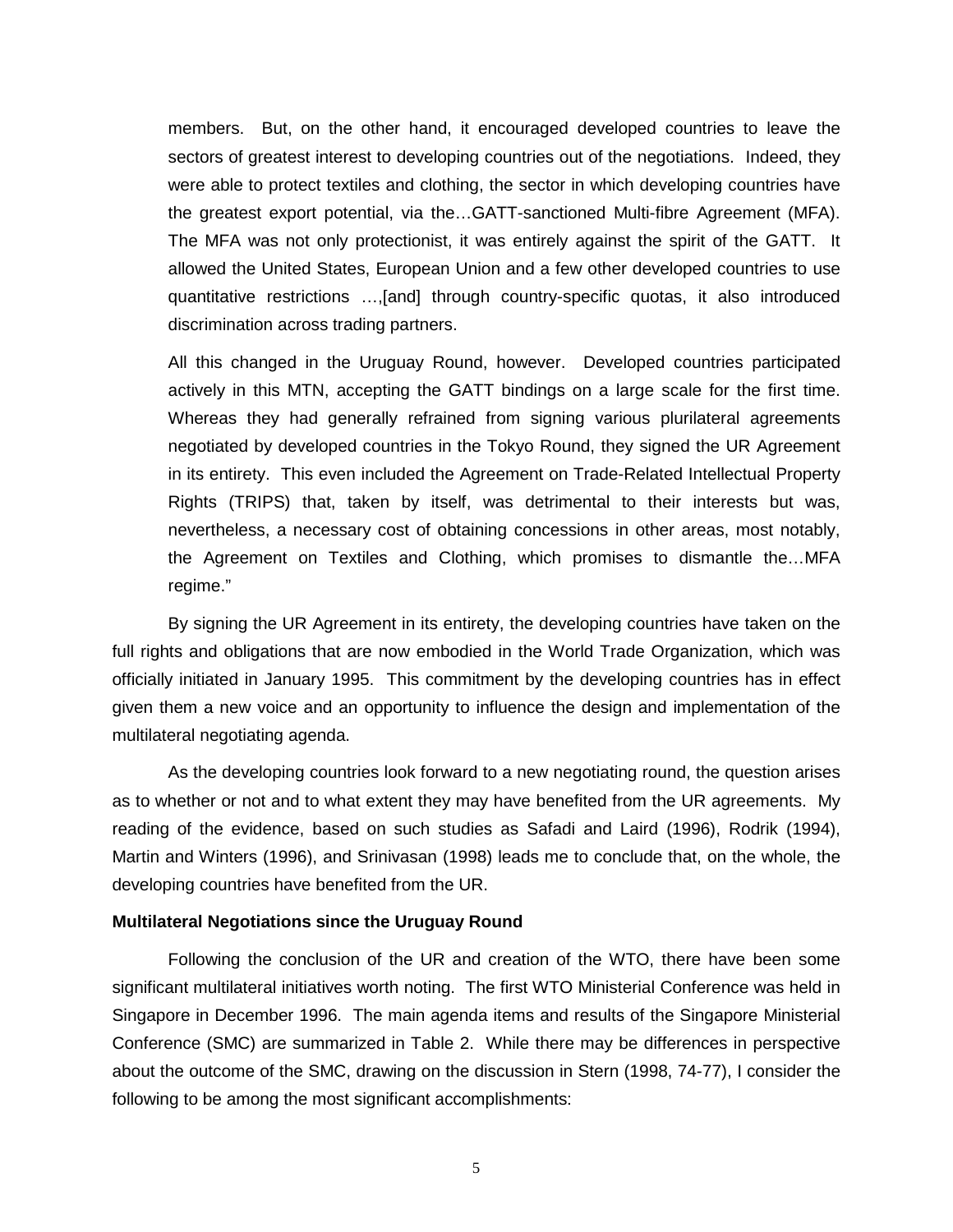members. But, on the other hand, it encouraged developed countries to leave the sectors of greatest interest to developing countries out of the negotiations. Indeed, they were able to protect textiles and clothing, the sector in which developing countries have the greatest export potential, via the…GATT-sanctioned Multi-fibre Agreement (MFA). The MFA was not only protectionist, it was entirely against the spirit of the GATT. It allowed the United States, European Union and a few other developed countries to use quantitative restrictions …,[and] through country-specific quotas, it also introduced discrimination across trading partners.

All this changed in the Uruguay Round, however. Developed countries participated actively in this MTN, accepting the GATT bindings on a large scale for the first time. Whereas they had generally refrained from signing various plurilateral agreements negotiated by developed countries in the Tokyo Round, they signed the UR Agreement in its entirety. This even included the Agreement on Trade-Related Intellectual Property Rights (TRIPS) that, taken by itself, was detrimental to their interests but was, nevertheless, a necessary cost of obtaining concessions in other areas, most notably, the Agreement on Textiles and Clothing, which promises to dismantle the…MFA regime."

By signing the UR Agreement in its entirety, the developing countries have taken on the full rights and obligations that are now embodied in the World Trade Organization, which was officially initiated in January 1995. This commitment by the developing countries has in effect given them a new voice and an opportunity to influence the design and implementation of the multilateral negotiating agenda.

As the developing countries look forward to a new negotiating round, the question arises as to whether or not and to what extent they may have benefited from the UR agreements. My reading of the evidence, based on such studies as Safadi and Laird (1996), Rodrik (1994), Martin and Winters (1996), and Srinivasan (1998) leads me to conclude that, on the whole, the developing countries have benefited from the UR.

#### **Multilateral Negotiations since the Uruguay Round**

Following the conclusion of the UR and creation of the WTO, there have been some significant multilateral initiatives worth noting. The first WTO Ministerial Conference was held in Singapore in December 1996. The main agenda items and results of the Singapore Ministerial Conference (SMC) are summarized in Table 2. While there may be differences in perspective about the outcome of the SMC, drawing on the discussion in Stern (1998, 74-77), I consider the following to be among the most significant accomplishments: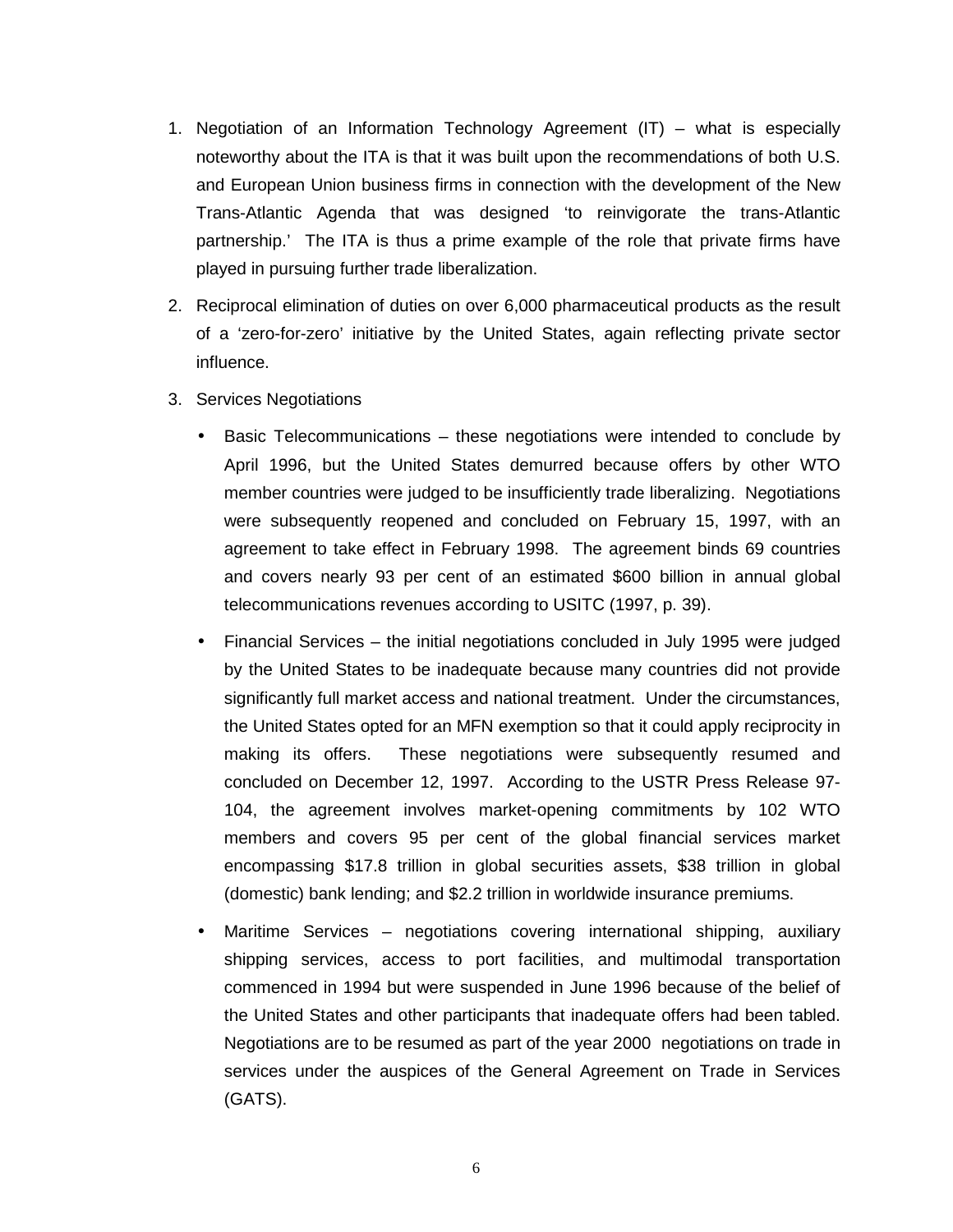- 1. Negotiation of an Information Technology Agreement (IT) what is especially noteworthy about the ITA is that it was built upon the recommendations of both U.S. and European Union business firms in connection with the development of the New Trans-Atlantic Agenda that was designed 'to reinvigorate the trans-Atlantic partnership.' The ITA is thus a prime example of the role that private firms have played in pursuing further trade liberalization.
- 2. Reciprocal elimination of duties on over 6,000 pharmaceutical products as the result of a 'zero-for-zero' initiative by the United States, again reflecting private sector influence.
- 3. Services Negotiations
	- Basic Telecommunications these negotiations were intended to conclude by April 1996, but the United States demurred because offers by other WTO member countries were judged to be insufficiently trade liberalizing. Negotiations were subsequently reopened and concluded on February 15, 1997, with an agreement to take effect in February 1998. The agreement binds 69 countries and covers nearly 93 per cent of an estimated \$600 billion in annual global telecommunications revenues according to USITC (1997, p. 39).
	- Financial Services the initial negotiations concluded in July 1995 were judged by the United States to be inadequate because many countries did not provide significantly full market access and national treatment. Under the circumstances, the United States opted for an MFN exemption so that it could apply reciprocity in making its offers. These negotiations were subsequently resumed and concluded on December 12, 1997. According to the USTR Press Release 97- 104, the agreement involves market-opening commitments by 102 WTO members and covers 95 per cent of the global financial services market encompassing \$17.8 trillion in global securities assets, \$38 trillion in global (domestic) bank lending; and \$2.2 trillion in worldwide insurance premiums.
	- Maritime Services negotiations covering international shipping, auxiliary shipping services, access to port facilities, and multimodal transportation commenced in 1994 but were suspended in June 1996 because of the belief of the United States and other participants that inadequate offers had been tabled. Negotiations are to be resumed as part of the year 2000 negotiations on trade in services under the auspices of the General Agreement on Trade in Services (GATS).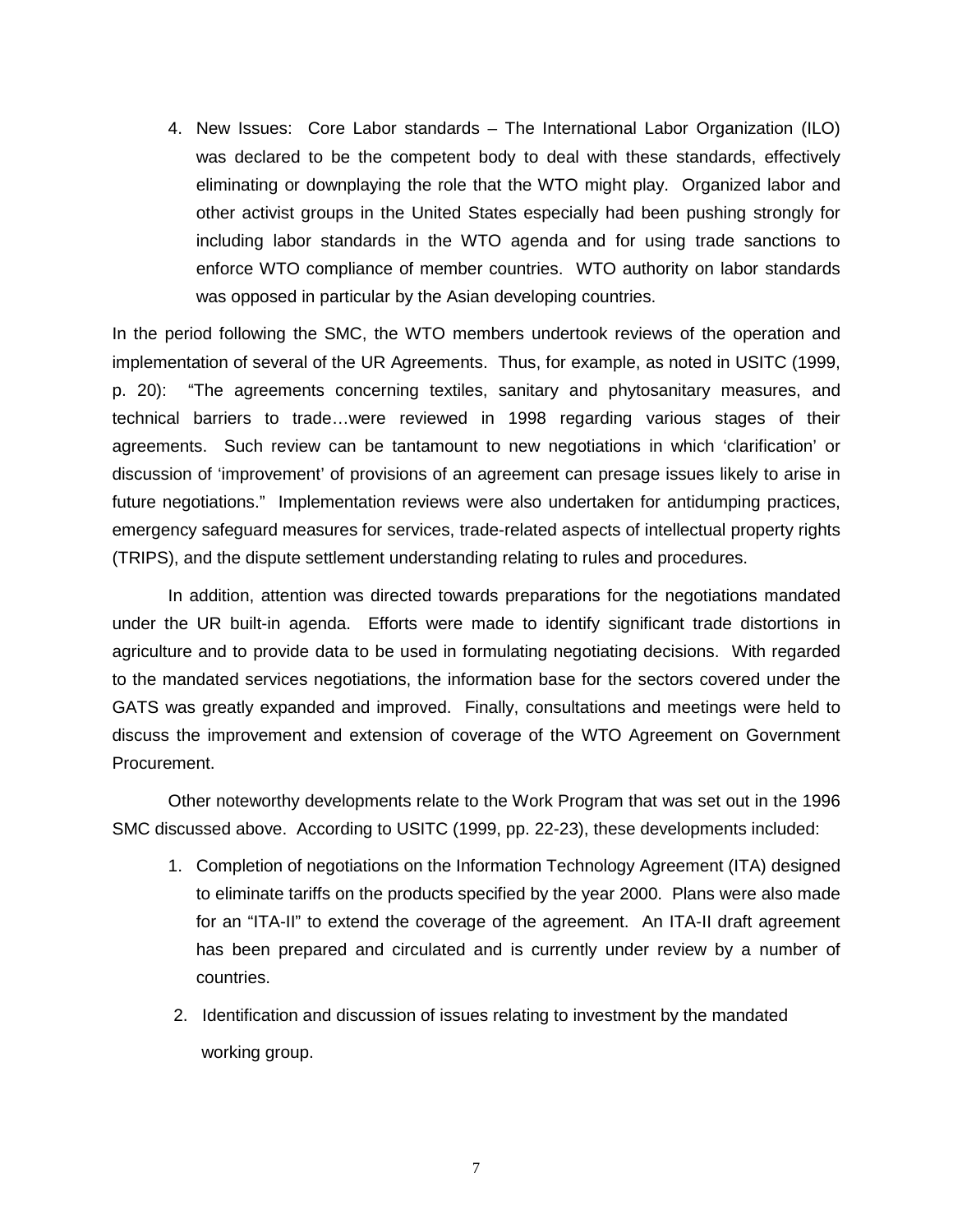4. New Issues: Core Labor standards – The International Labor Organization (ILO) was declared to be the competent body to deal with these standards, effectively eliminating or downplaying the role that the WTO might play. Organized labor and other activist groups in the United States especially had been pushing strongly for including labor standards in the WTO agenda and for using trade sanctions to enforce WTO compliance of member countries. WTO authority on labor standards was opposed in particular by the Asian developing countries.

In the period following the SMC, the WTO members undertook reviews of the operation and implementation of several of the UR Agreements. Thus, for example, as noted in USITC (1999, p. 20): "The agreements concerning textiles, sanitary and phytosanitary measures, and technical barriers to trade…were reviewed in 1998 regarding various stages of their agreements. Such review can be tantamount to new negotiations in which 'clarification' or discussion of 'improvement' of provisions of an agreement can presage issues likely to arise in future negotiations." Implementation reviews were also undertaken for antidumping practices, emergency safeguard measures for services, trade-related aspects of intellectual property rights (TRIPS), and the dispute settlement understanding relating to rules and procedures.

In addition, attention was directed towards preparations for the negotiations mandated under the UR built-in agenda. Efforts were made to identify significant trade distortions in agriculture and to provide data to be used in formulating negotiating decisions. With regarded to the mandated services negotiations, the information base for the sectors covered under the GATS was greatly expanded and improved. Finally, consultations and meetings were held to discuss the improvement and extension of coverage of the WTO Agreement on Government Procurement.

Other noteworthy developments relate to the Work Program that was set out in the 1996 SMC discussed above. According to USITC (1999, pp. 22-23), these developments included:

- 1. Completion of negotiations on the Information Technology Agreement (ITA) designed to eliminate tariffs on the products specified by the year 2000. Plans were also made for an "ITA-II" to extend the coverage of the agreement. An ITA-II draft agreement has been prepared and circulated and is currently under review by a number of countries.
- 2. Identification and discussion of issues relating to investment by the mandated working group.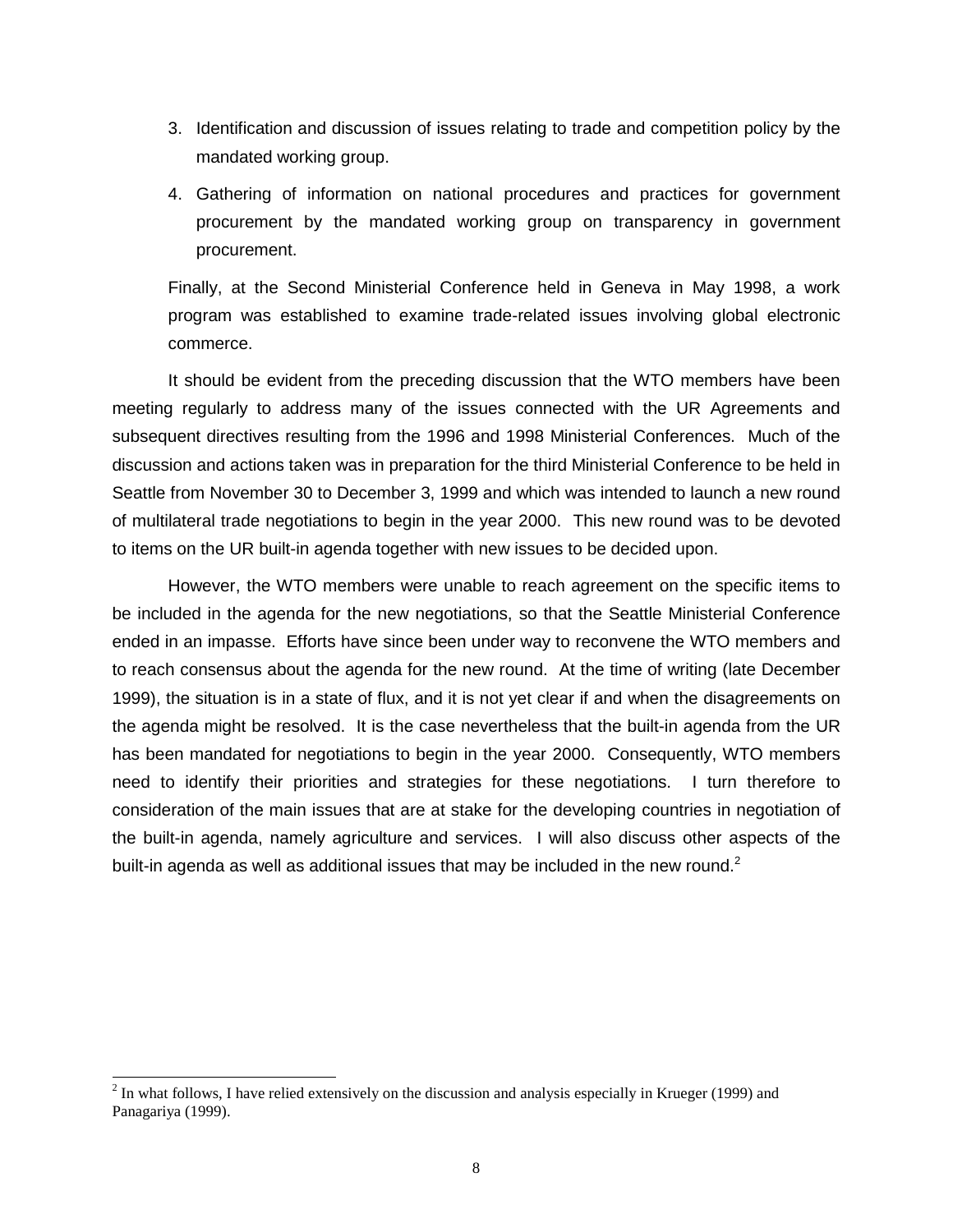- 3. Identification and discussion of issues relating to trade and competition policy by the mandated working group.
- 4. Gathering of information on national procedures and practices for government procurement by the mandated working group on transparency in government procurement.

Finally, at the Second Ministerial Conference held in Geneva in May 1998, a work program was established to examine trade-related issues involving global electronic commerce.

It should be evident from the preceding discussion that the WTO members have been meeting regularly to address many of the issues connected with the UR Agreements and subsequent directives resulting from the 1996 and 1998 Ministerial Conferences. Much of the discussion and actions taken was in preparation for the third Ministerial Conference to be held in Seattle from November 30 to December 3, 1999 and which was intended to launch a new round of multilateral trade negotiations to begin in the year 2000. This new round was to be devoted to items on the UR built-in agenda together with new issues to be decided upon.

However, the WTO members were unable to reach agreement on the specific items to be included in the agenda for the new negotiations, so that the Seattle Ministerial Conference ended in an impasse. Efforts have since been under way to reconvene the WTO members and to reach consensus about the agenda for the new round. At the time of writing (late December 1999), the situation is in a state of flux, and it is not yet clear if and when the disagreements on the agenda might be resolved. It is the case nevertheless that the built-in agenda from the UR has been mandated for negotiations to begin in the year 2000. Consequently, WTO members need to identify their priorities and strategies for these negotiations. I turn therefore to consideration of the main issues that are at stake for the developing countries in negotiation of the built-in agenda, namely agriculture and services. I will also discuss other aspects of the built-in agenda as well as additional issues that may be included in the new round. $2$ 

 $\overline{a}$  $2$  In what follows, I have relied extensively on the discussion and analysis especially in Krueger (1999) and Panagariya (1999).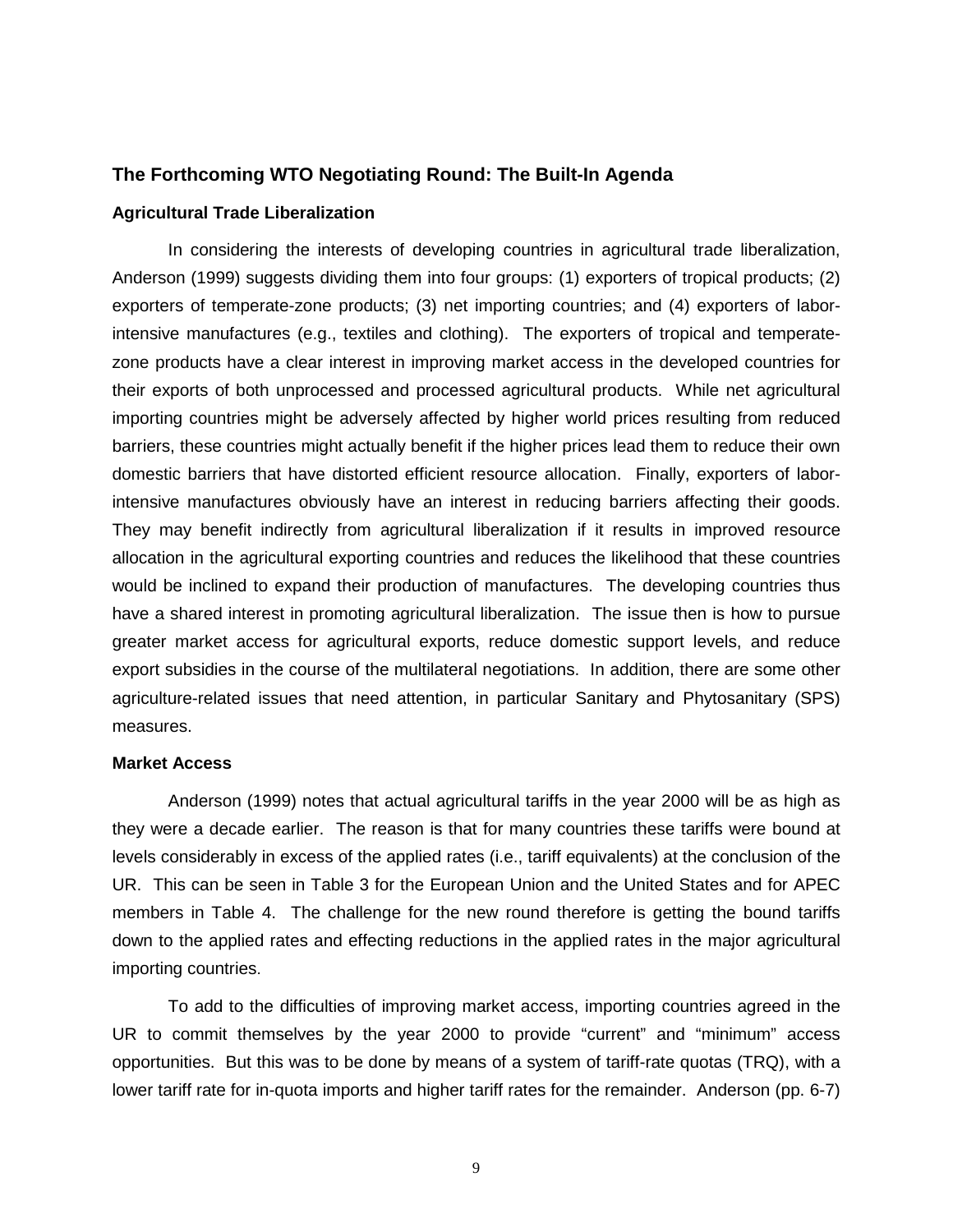## **The Forthcoming WTO Negotiating Round: The Built-In Agenda**

#### **Agricultural Trade Liberalization**

In considering the interests of developing countries in agricultural trade liberalization, Anderson (1999) suggests dividing them into four groups: (1) exporters of tropical products; (2) exporters of temperate-zone products; (3) net importing countries; and (4) exporters of laborintensive manufactures (e.g., textiles and clothing). The exporters of tropical and temperatezone products have a clear interest in improving market access in the developed countries for their exports of both unprocessed and processed agricultural products. While net agricultural importing countries might be adversely affected by higher world prices resulting from reduced barriers, these countries might actually benefit if the higher prices lead them to reduce their own domestic barriers that have distorted efficient resource allocation. Finally, exporters of laborintensive manufactures obviously have an interest in reducing barriers affecting their goods. They may benefit indirectly from agricultural liberalization if it results in improved resource allocation in the agricultural exporting countries and reduces the likelihood that these countries would be inclined to expand their production of manufactures. The developing countries thus have a shared interest in promoting agricultural liberalization. The issue then is how to pursue greater market access for agricultural exports, reduce domestic support levels, and reduce export subsidies in the course of the multilateral negotiations. In addition, there are some other agriculture-related issues that need attention, in particular Sanitary and Phytosanitary (SPS) measures.

#### **Market Access**

Anderson (1999) notes that actual agricultural tariffs in the year 2000 will be as high as they were a decade earlier. The reason is that for many countries these tariffs were bound at levels considerably in excess of the applied rates (i.e., tariff equivalents) at the conclusion of the UR. This can be seen in Table 3 for the European Union and the United States and for APEC members in Table 4. The challenge for the new round therefore is getting the bound tariffs down to the applied rates and effecting reductions in the applied rates in the major agricultural importing countries.

To add to the difficulties of improving market access, importing countries agreed in the UR to commit themselves by the year 2000 to provide "current" and "minimum" access opportunities. But this was to be done by means of a system of tariff-rate quotas (TRQ), with a lower tariff rate for in-quota imports and higher tariff rates for the remainder. Anderson (pp. 6-7)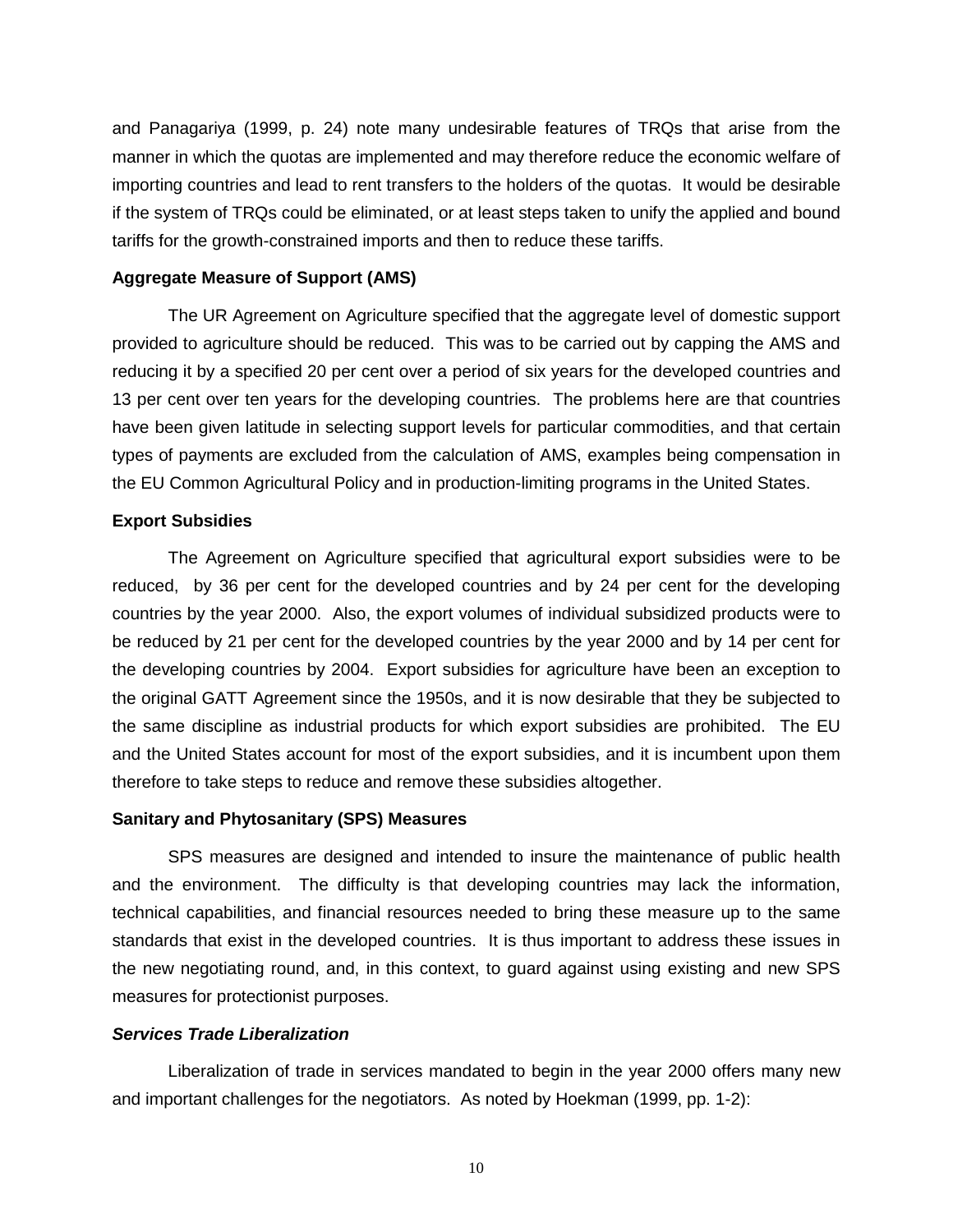and Panagariya (1999, p. 24) note many undesirable features of TRQs that arise from the manner in which the quotas are implemented and may therefore reduce the economic welfare of importing countries and lead to rent transfers to the holders of the quotas. It would be desirable if the system of TRQs could be eliminated, or at least steps taken to unify the applied and bound tariffs for the growth-constrained imports and then to reduce these tariffs.

## **Aggregate Measure of Support (AMS)**

The UR Agreement on Agriculture specified that the aggregate level of domestic support provided to agriculture should be reduced. This was to be carried out by capping the AMS and reducing it by a specified 20 per cent over a period of six years for the developed countries and 13 per cent over ten years for the developing countries. The problems here are that countries have been given latitude in selecting support levels for particular commodities, and that certain types of payments are excluded from the calculation of AMS, examples being compensation in the EU Common Agricultural Policy and in production-limiting programs in the United States.

## **Export Subsidies**

The Agreement on Agriculture specified that agricultural export subsidies were to be reduced, by 36 per cent for the developed countries and by 24 per cent for the developing countries by the year 2000. Also, the export volumes of individual subsidized products were to be reduced by 21 per cent for the developed countries by the year 2000 and by 14 per cent for the developing countries by 2004. Export subsidies for agriculture have been an exception to the original GATT Agreement since the 1950s, and it is now desirable that they be subjected to the same discipline as industrial products for which export subsidies are prohibited. The EU and the United States account for most of the export subsidies, and it is incumbent upon them therefore to take steps to reduce and remove these subsidies altogether.

#### **Sanitary and Phytosanitary (SPS) Measures**

SPS measures are designed and intended to insure the maintenance of public health and the environment. The difficulty is that developing countries may lack the information, technical capabilities, and financial resources needed to bring these measure up to the same standards that exist in the developed countries. It is thus important to address these issues in the new negotiating round, and, in this context, to guard against using existing and new SPS measures for protectionist purposes.

#### **Services Trade Liberalization**

Liberalization of trade in services mandated to begin in the year 2000 offers many new and important challenges for the negotiators. As noted by Hoekman (1999, pp. 1-2):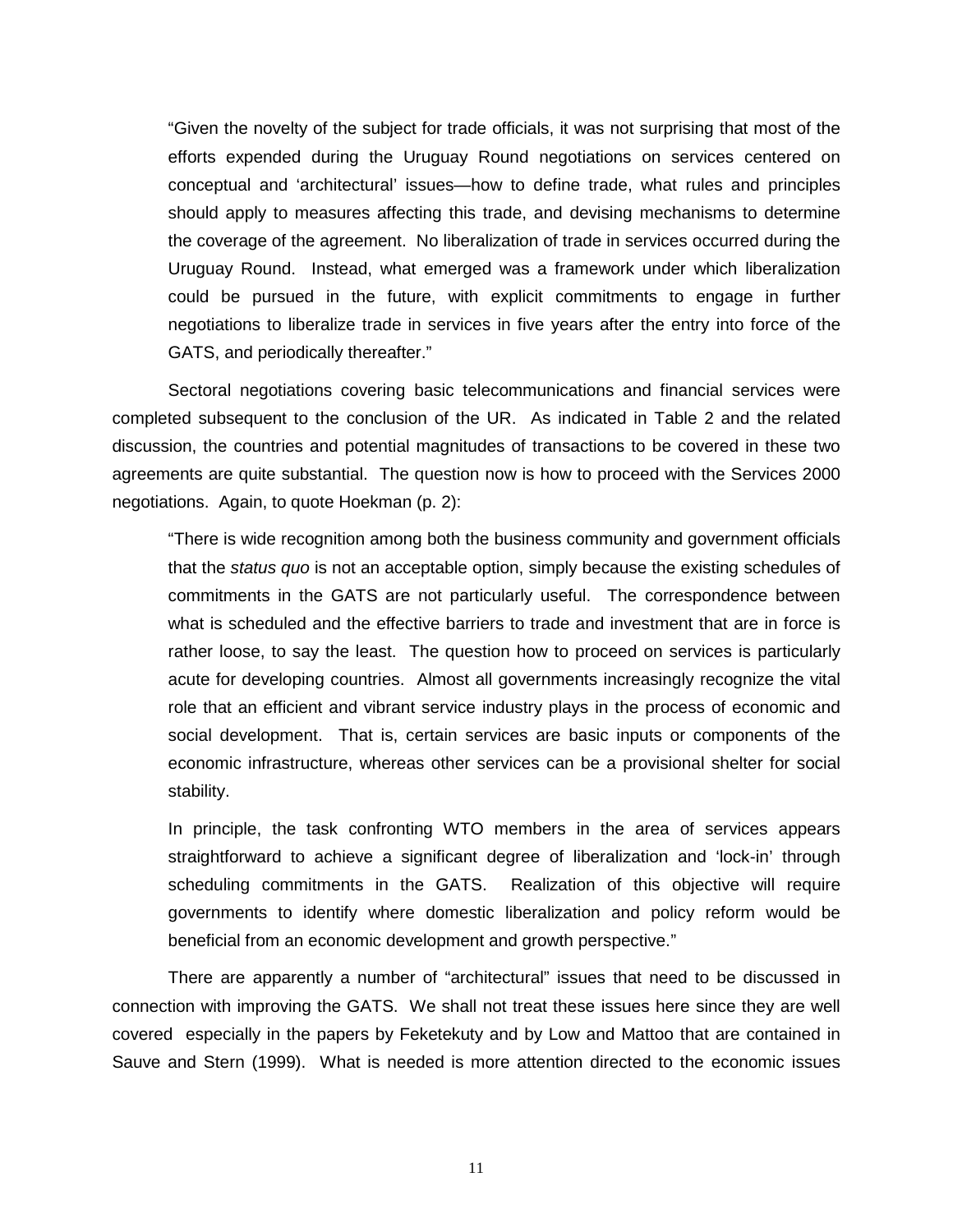"Given the novelty of the subject for trade officials, it was not surprising that most of the efforts expended during the Uruguay Round negotiations on services centered on conceptual and 'architectural' issues—how to define trade, what rules and principles should apply to measures affecting this trade, and devising mechanisms to determine the coverage of the agreement. No liberalization of trade in services occurred during the Uruguay Round. Instead, what emerged was a framework under which liberalization could be pursued in the future, with explicit commitments to engage in further negotiations to liberalize trade in services in five years after the entry into force of the GATS, and periodically thereafter."

Sectoral negotiations covering basic telecommunications and financial services were completed subsequent to the conclusion of the UR. As indicated in Table 2 and the related discussion, the countries and potential magnitudes of transactions to be covered in these two agreements are quite substantial. The question now is how to proceed with the Services 2000 negotiations. Again, to quote Hoekman (p. 2):

"There is wide recognition among both the business community and government officials that the *status quo* is not an acceptable option, simply because the existing schedules of commitments in the GATS are not particularly useful. The correspondence between what is scheduled and the effective barriers to trade and investment that are in force is rather loose, to say the least. The question how to proceed on services is particularly acute for developing countries. Almost all governments increasingly recognize the vital role that an efficient and vibrant service industry plays in the process of economic and social development. That is, certain services are basic inputs or components of the economic infrastructure, whereas other services can be a provisional shelter for social stability.

In principle, the task confronting WTO members in the area of services appears straightforward to achieve a significant degree of liberalization and 'lock-in' through scheduling commitments in the GATS. Realization of this objective will require governments to identify where domestic liberalization and policy reform would be beneficial from an economic development and growth perspective."

There are apparently a number of "architectural" issues that need to be discussed in connection with improving the GATS. We shall not treat these issues here since they are well covered especially in the papers by Feketekuty and by Low and Mattoo that are contained in Sauve and Stern (1999). What is needed is more attention directed to the economic issues

11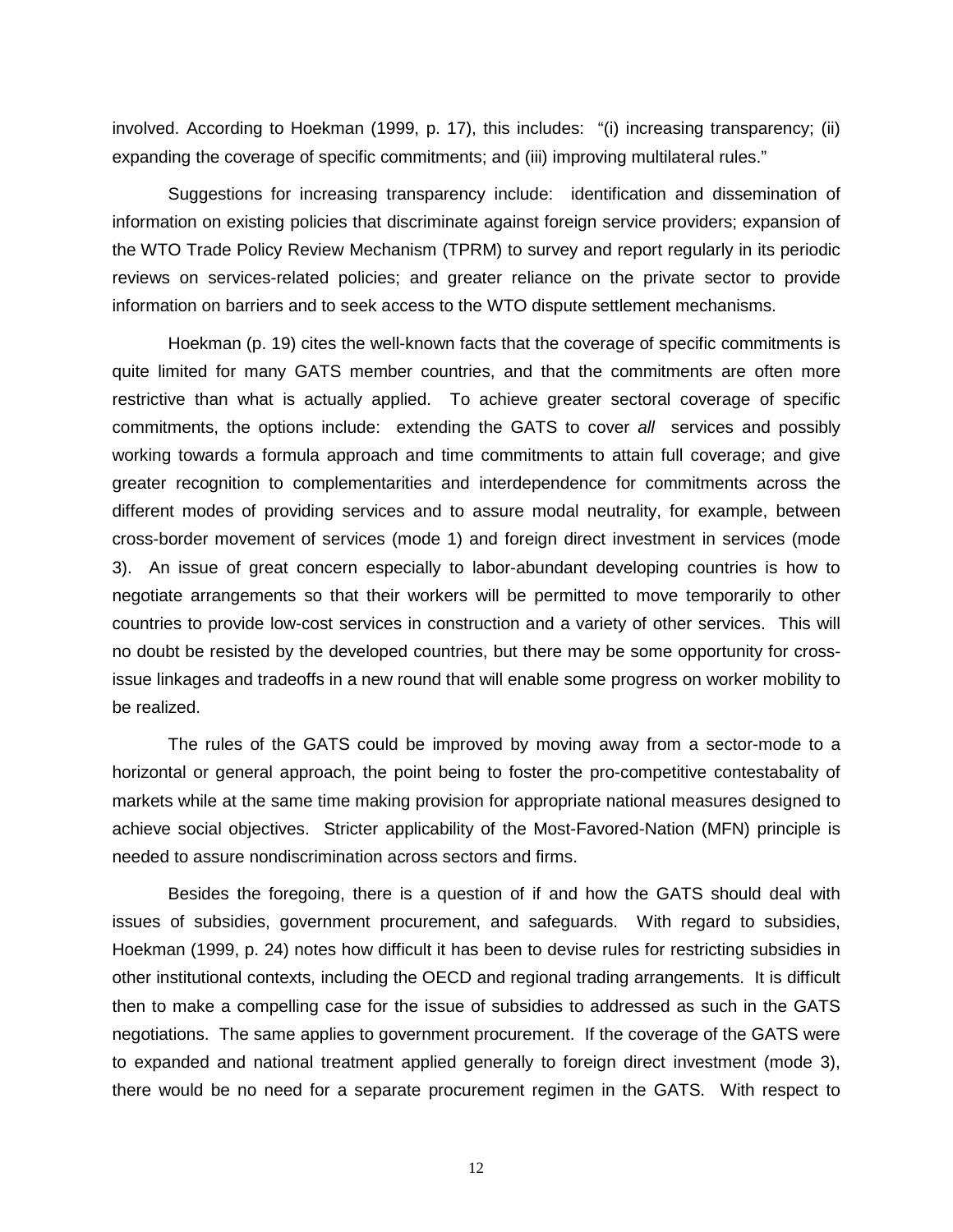involved. According to Hoekman (1999, p. 17), this includes: "(i) increasing transparency; (ii) expanding the coverage of specific commitments; and (iii) improving multilateral rules."

Suggestions for increasing transparency include: identification and dissemination of information on existing policies that discriminate against foreign service providers; expansion of the WTO Trade Policy Review Mechanism (TPRM) to survey and report regularly in its periodic reviews on services-related policies; and greater reliance on the private sector to provide information on barriers and to seek access to the WTO dispute settlement mechanisms.

Hoekman (p. 19) cites the well-known facts that the coverage of specific commitments is quite limited for many GATS member countries, and that the commitments are often more restrictive than what is actually applied. To achieve greater sectoral coverage of specific commitments, the options include: extending the GATS to cover all services and possibly working towards a formula approach and time commitments to attain full coverage; and give greater recognition to complementarities and interdependence for commitments across the different modes of providing services and to assure modal neutrality, for example, between cross-border movement of services (mode 1) and foreign direct investment in services (mode 3). An issue of great concern especially to labor-abundant developing countries is how to negotiate arrangements so that their workers will be permitted to move temporarily to other countries to provide low-cost services in construction and a variety of other services. This will no doubt be resisted by the developed countries, but there may be some opportunity for crossissue linkages and tradeoffs in a new round that will enable some progress on worker mobility to be realized.

The rules of the GATS could be improved by moving away from a sector-mode to a horizontal or general approach, the point being to foster the pro-competitive contestabality of markets while at the same time making provision for appropriate national measures designed to achieve social objectives. Stricter applicability of the Most-Favored-Nation (MFN) principle is needed to assure nondiscrimination across sectors and firms.

Besides the foregoing, there is a question of if and how the GATS should deal with issues of subsidies, government procurement, and safeguards. With regard to subsidies, Hoekman (1999, p. 24) notes how difficult it has been to devise rules for restricting subsidies in other institutional contexts, including the OECD and regional trading arrangements. It is difficult then to make a compelling case for the issue of subsidies to addressed as such in the GATS negotiations. The same applies to government procurement. If the coverage of the GATS were to expanded and national treatment applied generally to foreign direct investment (mode 3), there would be no need for a separate procurement regimen in the GATS. With respect to

12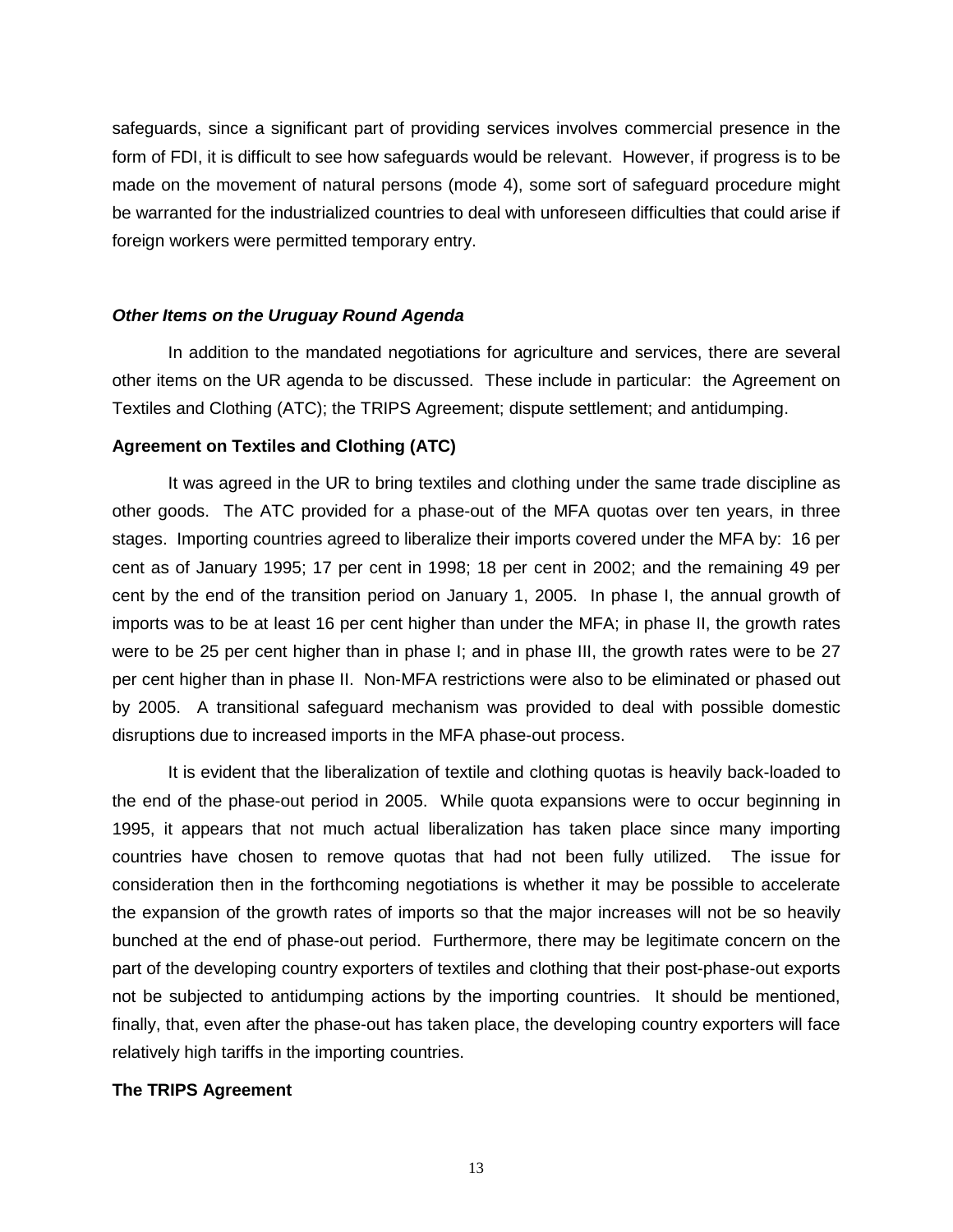safeguards, since a significant part of providing services involves commercial presence in the form of FDI, it is difficult to see how safeguards would be relevant. However, if progress is to be made on the movement of natural persons (mode 4), some sort of safeguard procedure might be warranted for the industrialized countries to deal with unforeseen difficulties that could arise if foreign workers were permitted temporary entry.

#### **Other Items on the Uruguay Round Agenda**

In addition to the mandated negotiations for agriculture and services, there are several other items on the UR agenda to be discussed. These include in particular: the Agreement on Textiles and Clothing (ATC); the TRIPS Agreement; dispute settlement; and antidumping.

## **Agreement on Textiles and Clothing (ATC)**

It was agreed in the UR to bring textiles and clothing under the same trade discipline as other goods. The ATC provided for a phase-out of the MFA quotas over ten years, in three stages. Importing countries agreed to liberalize their imports covered under the MFA by: 16 per cent as of January 1995; 17 per cent in 1998; 18 per cent in 2002; and the remaining 49 per cent by the end of the transition period on January 1, 2005. In phase I, the annual growth of imports was to be at least 16 per cent higher than under the MFA; in phase II, the growth rates were to be 25 per cent higher than in phase I; and in phase III, the growth rates were to be 27 per cent higher than in phase II. Non-MFA restrictions were also to be eliminated or phased out by 2005. A transitional safeguard mechanism was provided to deal with possible domestic disruptions due to increased imports in the MFA phase-out process.

It is evident that the liberalization of textile and clothing quotas is heavily back-loaded to the end of the phase-out period in 2005. While quota expansions were to occur beginning in 1995, it appears that not much actual liberalization has taken place since many importing countries have chosen to remove quotas that had not been fully utilized. The issue for consideration then in the forthcoming negotiations is whether it may be possible to accelerate the expansion of the growth rates of imports so that the major increases will not be so heavily bunched at the end of phase-out period. Furthermore, there may be legitimate concern on the part of the developing country exporters of textiles and clothing that their post-phase-out exports not be subjected to antidumping actions by the importing countries. It should be mentioned, finally, that, even after the phase-out has taken place, the developing country exporters will face relatively high tariffs in the importing countries.

#### **The TRIPS Agreement**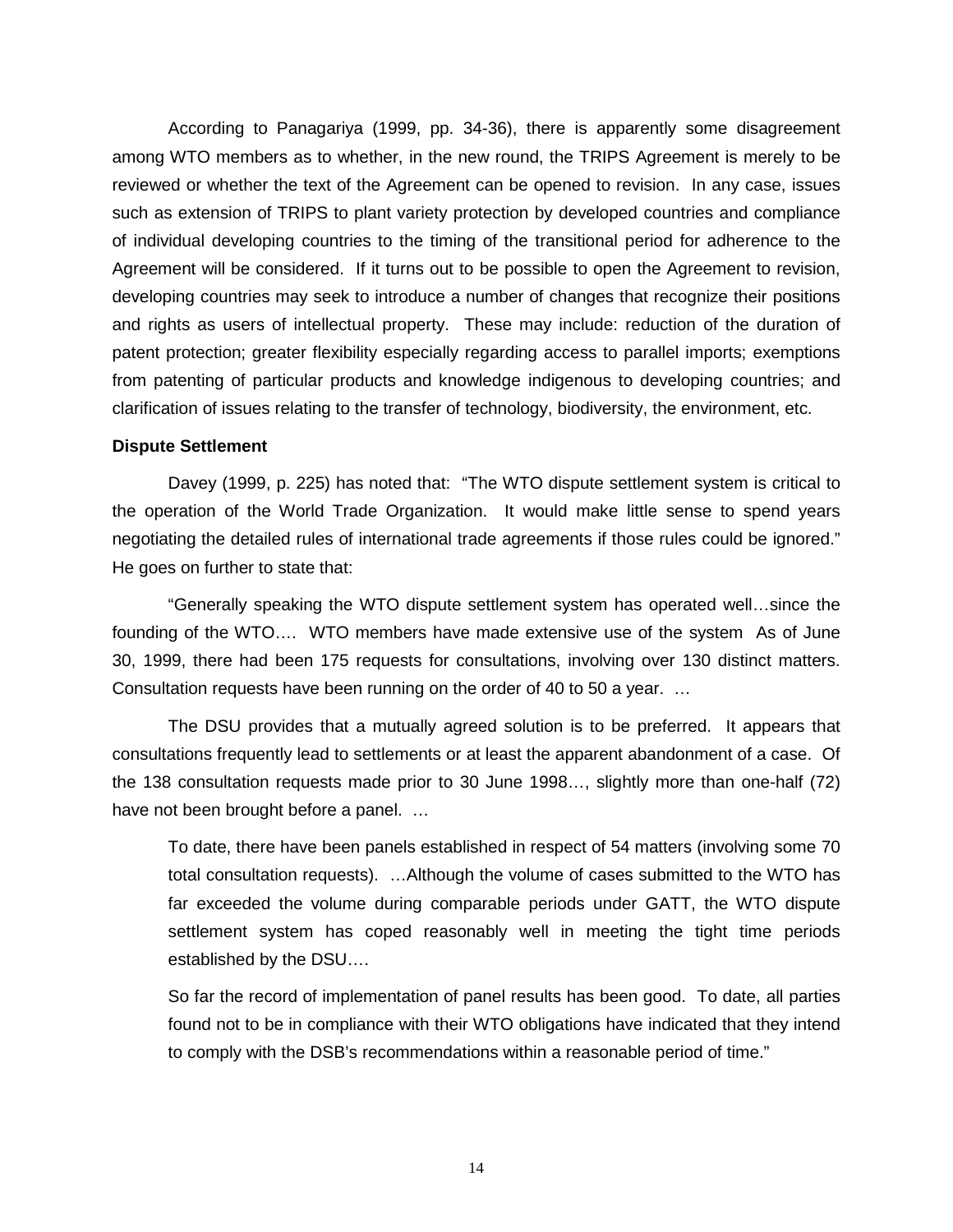According to Panagariya (1999, pp. 34-36), there is apparently some disagreement among WTO members as to whether, in the new round, the TRIPS Agreement is merely to be reviewed or whether the text of the Agreement can be opened to revision. In any case, issues such as extension of TRIPS to plant variety protection by developed countries and compliance of individual developing countries to the timing of the transitional period for adherence to the Agreement will be considered. If it turns out to be possible to open the Agreement to revision, developing countries may seek to introduce a number of changes that recognize their positions and rights as users of intellectual property. These may include: reduction of the duration of patent protection; greater flexibility especially regarding access to parallel imports; exemptions from patenting of particular products and knowledge indigenous to developing countries; and clarification of issues relating to the transfer of technology, biodiversity, the environment, etc.

#### **Dispute Settlement**

Davey (1999, p. 225) has noted that: "The WTO dispute settlement system is critical to the operation of the World Trade Organization. It would make little sense to spend years negotiating the detailed rules of international trade agreements if those rules could be ignored." He goes on further to state that:

"Generally speaking the WTO dispute settlement system has operated well…since the founding of the WTO…. WTO members have made extensive use of the system As of June 30, 1999, there had been 175 requests for consultations, involving over 130 distinct matters. Consultation requests have been running on the order of 40 to 50 a year. …

The DSU provides that a mutually agreed solution is to be preferred. It appears that consultations frequently lead to settlements or at least the apparent abandonment of a case. Of the 138 consultation requests made prior to 30 June 1998…, slightly more than one-half (72) have not been brought before a panel. …

To date, there have been panels established in respect of 54 matters (involving some 70 total consultation requests). …Although the volume of cases submitted to the WTO has far exceeded the volume during comparable periods under GATT, the WTO dispute settlement system has coped reasonably well in meeting the tight time periods established by the DSU….

So far the record of implementation of panel results has been good. To date, all parties found not to be in compliance with their WTO obligations have indicated that they intend to comply with the DSB's recommendations within a reasonable period of time."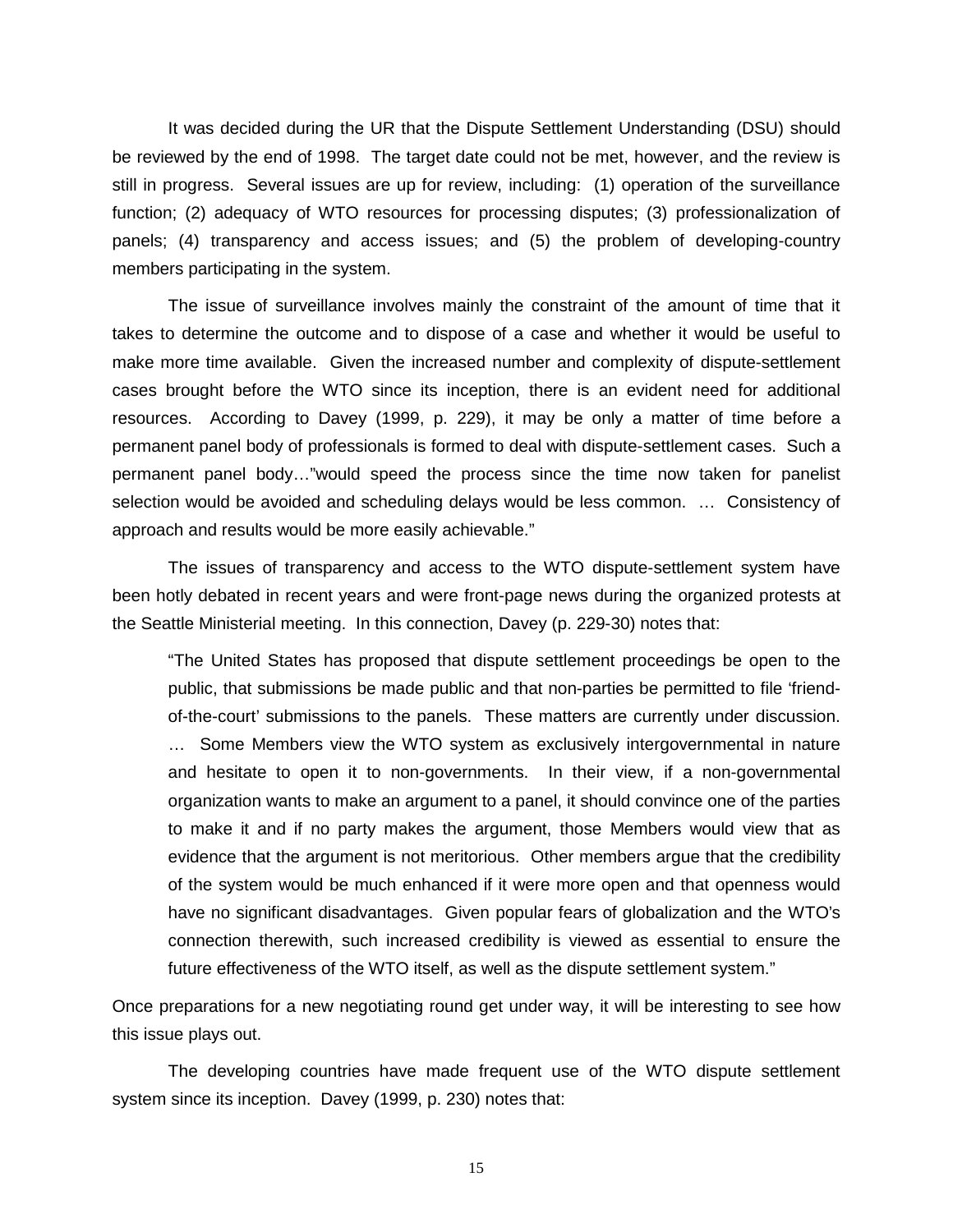It was decided during the UR that the Dispute Settlement Understanding (DSU) should be reviewed by the end of 1998. The target date could not be met, however, and the review is still in progress. Several issues are up for review, including: (1) operation of the surveillance function; (2) adequacy of WTO resources for processing disputes; (3) professionalization of panels; (4) transparency and access issues; and (5) the problem of developing-country members participating in the system.

The issue of surveillance involves mainly the constraint of the amount of time that it takes to determine the outcome and to dispose of a case and whether it would be useful to make more time available. Given the increased number and complexity of dispute-settlement cases brought before the WTO since its inception, there is an evident need for additional resources. According to Davey (1999, p. 229), it may be only a matter of time before a permanent panel body of professionals is formed to deal with dispute-settlement cases. Such a permanent panel body…"would speed the process since the time now taken for panelist selection would be avoided and scheduling delays would be less common. … Consistency of approach and results would be more easily achievable."

The issues of transparency and access to the WTO dispute-settlement system have been hotly debated in recent years and were front-page news during the organized protests at the Seattle Ministerial meeting. In this connection, Davey (p. 229-30) notes that:

"The United States has proposed that dispute settlement proceedings be open to the public, that submissions be made public and that non-parties be permitted to file 'friendof-the-court' submissions to the panels. These matters are currently under discussion. … Some Members view the WTO system as exclusively intergovernmental in nature and hesitate to open it to non-governments. In their view, if a non-governmental organization wants to make an argument to a panel, it should convince one of the parties to make it and if no party makes the argument, those Members would view that as evidence that the argument is not meritorious. Other members argue that the credibility of the system would be much enhanced if it were more open and that openness would have no significant disadvantages. Given popular fears of globalization and the WTO's connection therewith, such increased credibility is viewed as essential to ensure the future effectiveness of the WTO itself, as well as the dispute settlement system."

Once preparations for a new negotiating round get under way, it will be interesting to see how this issue plays out.

The developing countries have made frequent use of the WTO dispute settlement system since its inception. Davey (1999, p. 230) notes that: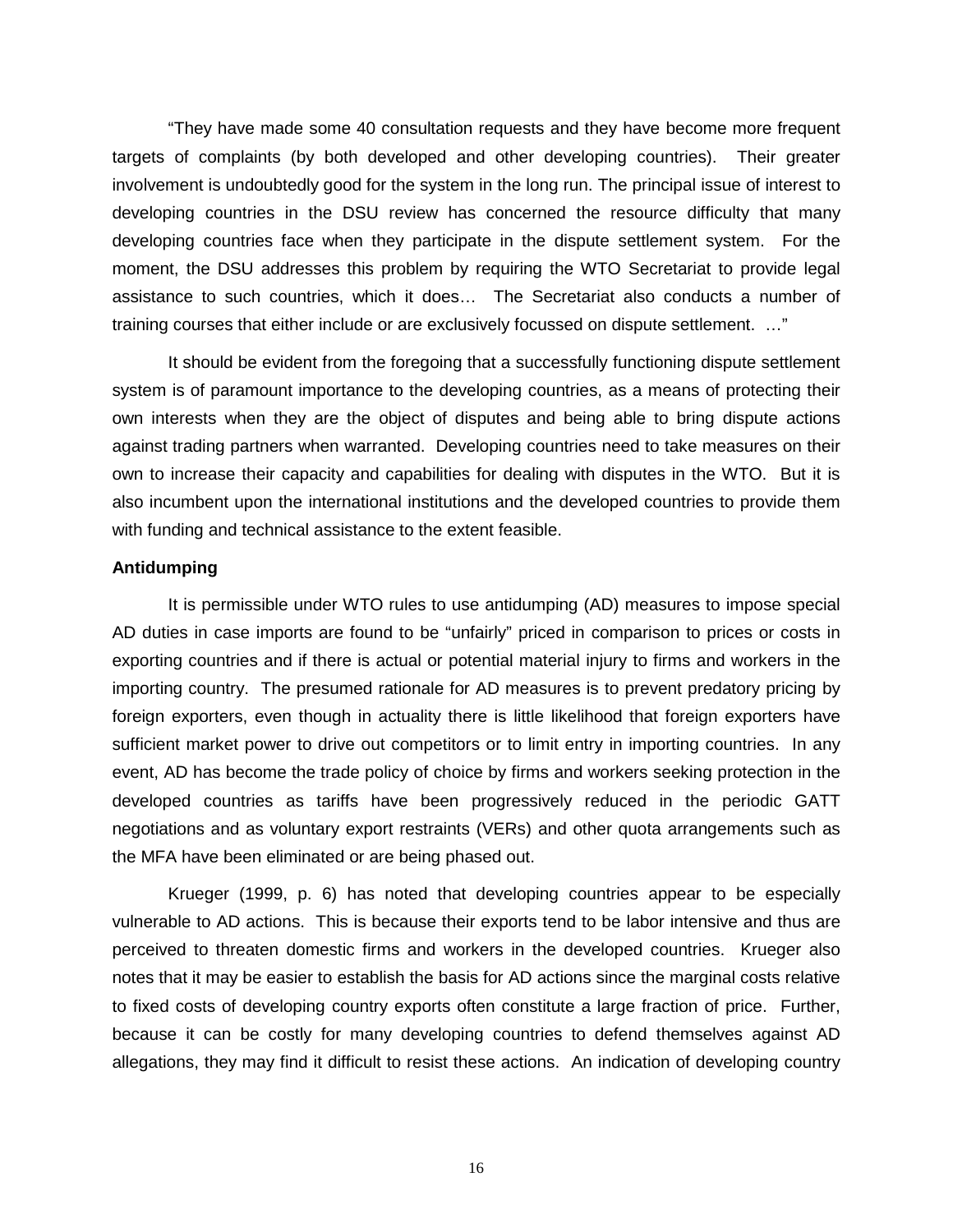"They have made some 40 consultation requests and they have become more frequent targets of complaints (by both developed and other developing countries). Their greater involvement is undoubtedly good for the system in the long run. The principal issue of interest to developing countries in the DSU review has concerned the resource difficulty that many developing countries face when they participate in the dispute settlement system. For the moment, the DSU addresses this problem by requiring the WTO Secretariat to provide legal assistance to such countries, which it does… The Secretariat also conducts a number of training courses that either include or are exclusively focussed on dispute settlement. …"

It should be evident from the foregoing that a successfully functioning dispute settlement system is of paramount importance to the developing countries, as a means of protecting their own interests when they are the object of disputes and being able to bring dispute actions against trading partners when warranted. Developing countries need to take measures on their own to increase their capacity and capabilities for dealing with disputes in the WTO. But it is also incumbent upon the international institutions and the developed countries to provide them with funding and technical assistance to the extent feasible.

#### **Antidumping**

It is permissible under WTO rules to use antidumping (AD) measures to impose special AD duties in case imports are found to be "unfairly" priced in comparison to prices or costs in exporting countries and if there is actual or potential material injury to firms and workers in the importing country. The presumed rationale for AD measures is to prevent predatory pricing by foreign exporters, even though in actuality there is little likelihood that foreign exporters have sufficient market power to drive out competitors or to limit entry in importing countries. In any event, AD has become the trade policy of choice by firms and workers seeking protection in the developed countries as tariffs have been progressively reduced in the periodic GATT negotiations and as voluntary export restraints (VERs) and other quota arrangements such as the MFA have been eliminated or are being phased out.

Krueger (1999, p. 6) has noted that developing countries appear to be especially vulnerable to AD actions. This is because their exports tend to be labor intensive and thus are perceived to threaten domestic firms and workers in the developed countries. Krueger also notes that it may be easier to establish the basis for AD actions since the marginal costs relative to fixed costs of developing country exports often constitute a large fraction of price. Further, because it can be costly for many developing countries to defend themselves against AD allegations, they may find it difficult to resist these actions. An indication of developing country

16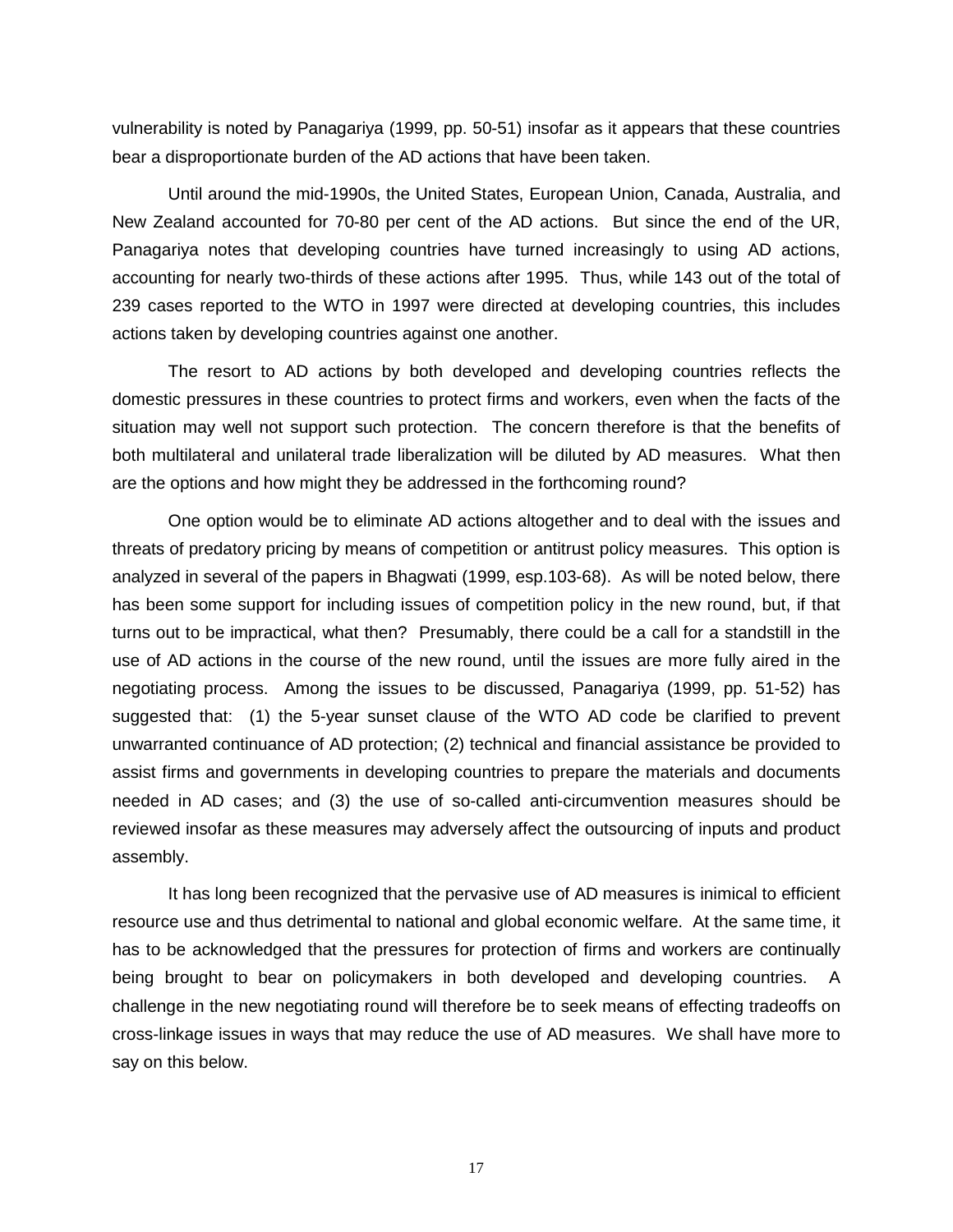vulnerability is noted by Panagariya (1999, pp. 50-51) insofar as it appears that these countries bear a disproportionate burden of the AD actions that have been taken.

Until around the mid-1990s, the United States, European Union, Canada, Australia, and New Zealand accounted for 70-80 per cent of the AD actions. But since the end of the UR, Panagariya notes that developing countries have turned increasingly to using AD actions, accounting for nearly two-thirds of these actions after 1995. Thus, while 143 out of the total of 239 cases reported to the WTO in 1997 were directed at developing countries, this includes actions taken by developing countries against one another.

The resort to AD actions by both developed and developing countries reflects the domestic pressures in these countries to protect firms and workers, even when the facts of the situation may well not support such protection. The concern therefore is that the benefits of both multilateral and unilateral trade liberalization will be diluted by AD measures. What then are the options and how might they be addressed in the forthcoming round?

One option would be to eliminate AD actions altogether and to deal with the issues and threats of predatory pricing by means of competition or antitrust policy measures. This option is analyzed in several of the papers in Bhagwati (1999, esp.103-68). As will be noted below, there has been some support for including issues of competition policy in the new round, but, if that turns out to be impractical, what then? Presumably, there could be a call for a standstill in the use of AD actions in the course of the new round, until the issues are more fully aired in the negotiating process. Among the issues to be discussed, Panagariya (1999, pp. 51-52) has suggested that: (1) the 5-year sunset clause of the WTO AD code be clarified to prevent unwarranted continuance of AD protection; (2) technical and financial assistance be provided to assist firms and governments in developing countries to prepare the materials and documents needed in AD cases; and (3) the use of so-called anti-circumvention measures should be reviewed insofar as these measures may adversely affect the outsourcing of inputs and product assembly.

It has long been recognized that the pervasive use of AD measures is inimical to efficient resource use and thus detrimental to national and global economic welfare. At the same time, it has to be acknowledged that the pressures for protection of firms and workers are continually being brought to bear on policymakers in both developed and developing countries. A challenge in the new negotiating round will therefore be to seek means of effecting tradeoffs on cross-linkage issues in ways that may reduce the use of AD measures. We shall have more to say on this below.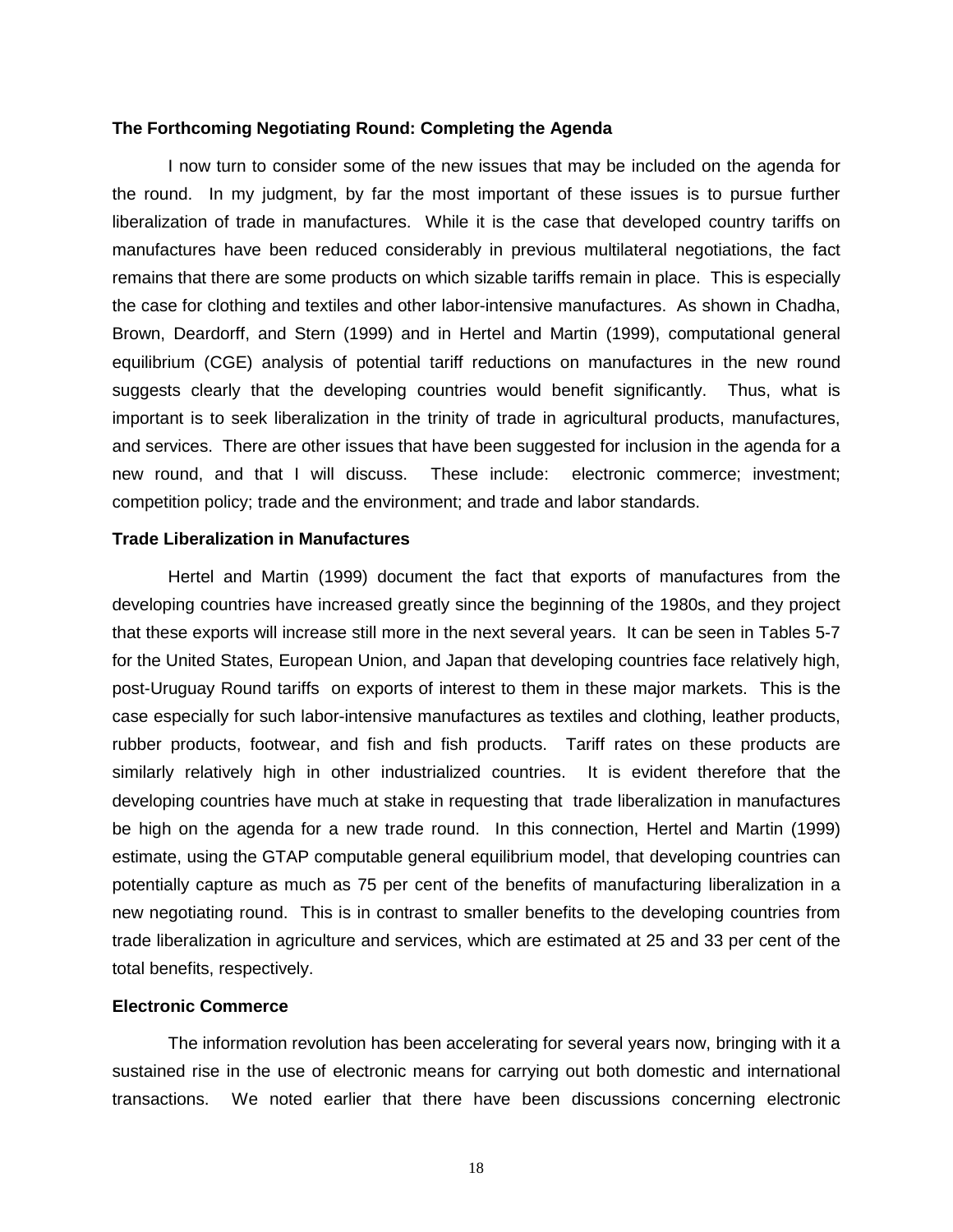#### **The Forthcoming Negotiating Round: Completing the Agenda**

I now turn to consider some of the new issues that may be included on the agenda for the round. In my judgment, by far the most important of these issues is to pursue further liberalization of trade in manufactures. While it is the case that developed country tariffs on manufactures have been reduced considerably in previous multilateral negotiations, the fact remains that there are some products on which sizable tariffs remain in place. This is especially the case for clothing and textiles and other labor-intensive manufactures. As shown in Chadha, Brown, Deardorff, and Stern (1999) and in Hertel and Martin (1999), computational general equilibrium (CGE) analysis of potential tariff reductions on manufactures in the new round suggests clearly that the developing countries would benefit significantly. Thus, what is important is to seek liberalization in the trinity of trade in agricultural products, manufactures, and services. There are other issues that have been suggested for inclusion in the agenda for a new round, and that I will discuss. These include: electronic commerce; investment; competition policy; trade and the environment; and trade and labor standards.

#### **Trade Liberalization in Manufactures**

Hertel and Martin (1999) document the fact that exports of manufactures from the developing countries have increased greatly since the beginning of the 1980s, and they project that these exports will increase still more in the next several years. It can be seen in Tables 5-7 for the United States, European Union, and Japan that developing countries face relatively high, post-Uruguay Round tariffs on exports of interest to them in these major markets. This is the case especially for such labor-intensive manufactures as textiles and clothing, leather products, rubber products, footwear, and fish and fish products. Tariff rates on these products are similarly relatively high in other industrialized countries. It is evident therefore that the developing countries have much at stake in requesting that trade liberalization in manufactures be high on the agenda for a new trade round. In this connection, Hertel and Martin (1999) estimate, using the GTAP computable general equilibrium model, that developing countries can potentially capture as much as 75 per cent of the benefits of manufacturing liberalization in a new negotiating round. This is in contrast to smaller benefits to the developing countries from trade liberalization in agriculture and services, which are estimated at 25 and 33 per cent of the total benefits, respectively.

#### **Electronic Commerce**

The information revolution has been accelerating for several years now, bringing with it a sustained rise in the use of electronic means for carrying out both domestic and international transactions. We noted earlier that there have been discussions concerning electronic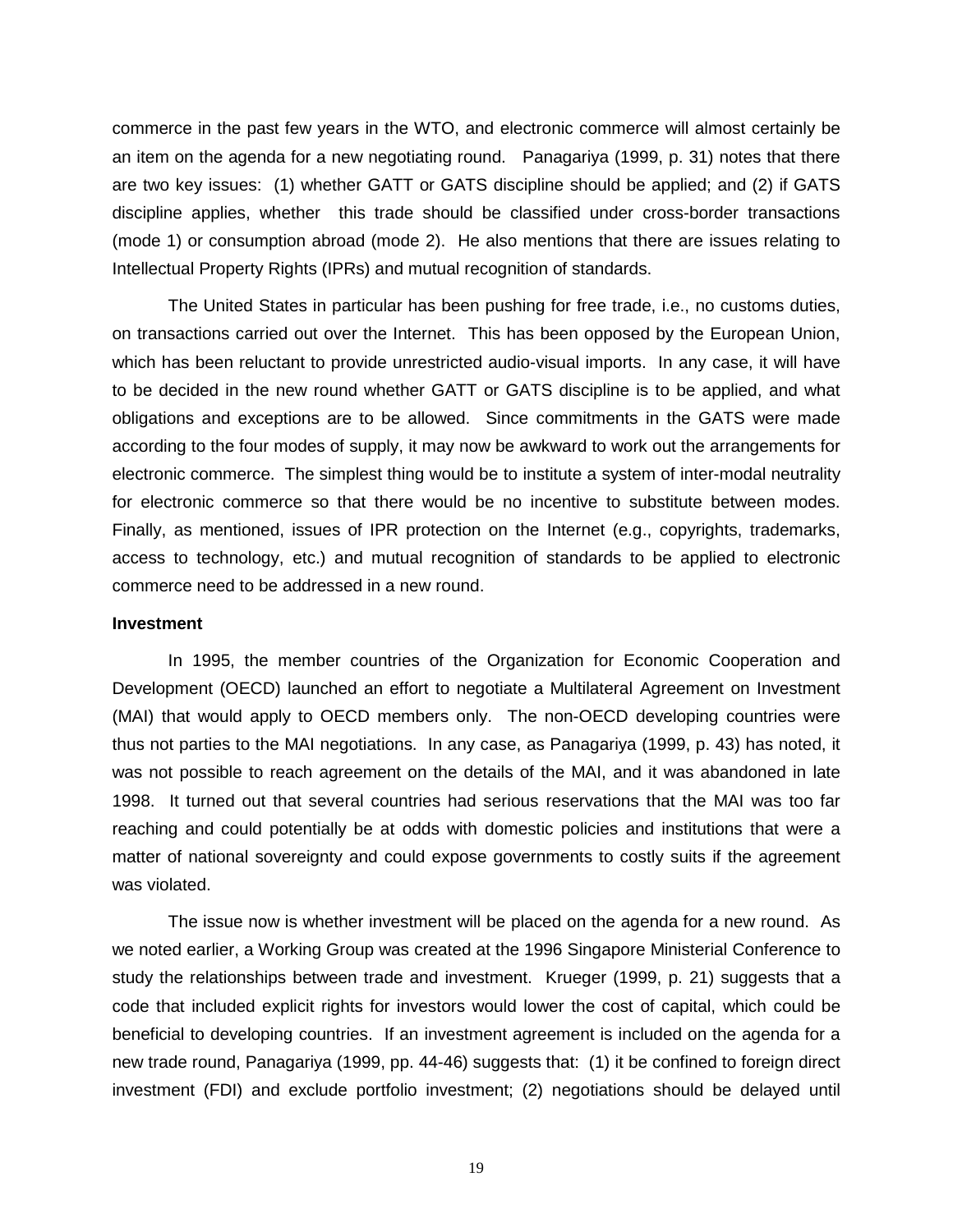commerce in the past few years in the WTO, and electronic commerce will almost certainly be an item on the agenda for a new negotiating round. Panagariya (1999, p. 31) notes that there are two key issues: (1) whether GATT or GATS discipline should be applied; and (2) if GATS discipline applies, whether this trade should be classified under cross-border transactions (mode 1) or consumption abroad (mode 2). He also mentions that there are issues relating to Intellectual Property Rights (IPRs) and mutual recognition of standards.

The United States in particular has been pushing for free trade, i.e., no customs duties, on transactions carried out over the Internet. This has been opposed by the European Union, which has been reluctant to provide unrestricted audio-visual imports. In any case, it will have to be decided in the new round whether GATT or GATS discipline is to be applied, and what obligations and exceptions are to be allowed. Since commitments in the GATS were made according to the four modes of supply, it may now be awkward to work out the arrangements for electronic commerce. The simplest thing would be to institute a system of inter-modal neutrality for electronic commerce so that there would be no incentive to substitute between modes. Finally, as mentioned, issues of IPR protection on the Internet (e.g., copyrights, trademarks, access to technology, etc.) and mutual recognition of standards to be applied to electronic commerce need to be addressed in a new round.

#### **Investment**

In 1995, the member countries of the Organization for Economic Cooperation and Development (OECD) launched an effort to negotiate a Multilateral Agreement on Investment (MAI) that would apply to OECD members only. The non-OECD developing countries were thus not parties to the MAI negotiations. In any case, as Panagariya (1999, p. 43) has noted, it was not possible to reach agreement on the details of the MAI, and it was abandoned in late 1998. It turned out that several countries had serious reservations that the MAI was too far reaching and could potentially be at odds with domestic policies and institutions that were a matter of national sovereignty and could expose governments to costly suits if the agreement was violated.

The issue now is whether investment will be placed on the agenda for a new round. As we noted earlier, a Working Group was created at the 1996 Singapore Ministerial Conference to study the relationships between trade and investment. Krueger (1999, p. 21) suggests that a code that included explicit rights for investors would lower the cost of capital, which could be beneficial to developing countries. If an investment agreement is included on the agenda for a new trade round, Panagariya (1999, pp. 44-46) suggests that: (1) it be confined to foreign direct investment (FDI) and exclude portfolio investment; (2) negotiations should be delayed until

19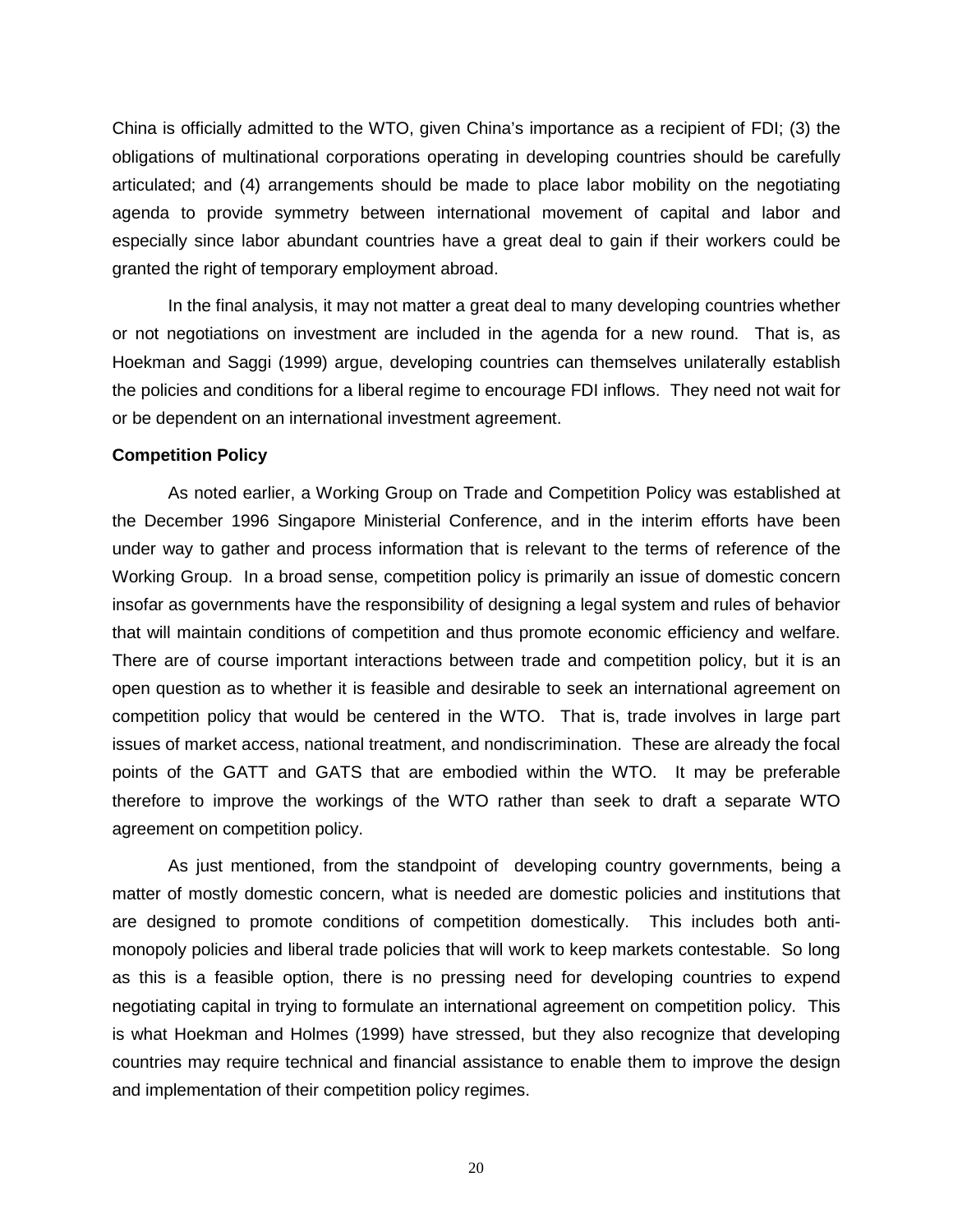China is officially admitted to the WTO, given China's importance as a recipient of FDI; (3) the obligations of multinational corporations operating in developing countries should be carefully articulated; and (4) arrangements should be made to place labor mobility on the negotiating agenda to provide symmetry between international movement of capital and labor and especially since labor abundant countries have a great deal to gain if their workers could be granted the right of temporary employment abroad.

In the final analysis, it may not matter a great deal to many developing countries whether or not negotiations on investment are included in the agenda for a new round. That is, as Hoekman and Saggi (1999) argue, developing countries can themselves unilaterally establish the policies and conditions for a liberal regime to encourage FDI inflows. They need not wait for or be dependent on an international investment agreement.

#### **Competition Policy**

As noted earlier, a Working Group on Trade and Competition Policy was established at the December 1996 Singapore Ministerial Conference, and in the interim efforts have been under way to gather and process information that is relevant to the terms of reference of the Working Group. In a broad sense, competition policy is primarily an issue of domestic concern insofar as governments have the responsibility of designing a legal system and rules of behavior that will maintain conditions of competition and thus promote economic efficiency and welfare. There are of course important interactions between trade and competition policy, but it is an open question as to whether it is feasible and desirable to seek an international agreement on competition policy that would be centered in the WTO. That is, trade involves in large part issues of market access, national treatment, and nondiscrimination. These are already the focal points of the GATT and GATS that are embodied within the WTO. It may be preferable therefore to improve the workings of the WTO rather than seek to draft a separate WTO agreement on competition policy.

As just mentioned, from the standpoint of developing country governments, being a matter of mostly domestic concern, what is needed are domestic policies and institutions that are designed to promote conditions of competition domestically. This includes both antimonopoly policies and liberal trade policies that will work to keep markets contestable. So long as this is a feasible option, there is no pressing need for developing countries to expend negotiating capital in trying to formulate an international agreement on competition policy. This is what Hoekman and Holmes (1999) have stressed, but they also recognize that developing countries may require technical and financial assistance to enable them to improve the design and implementation of their competition policy regimes.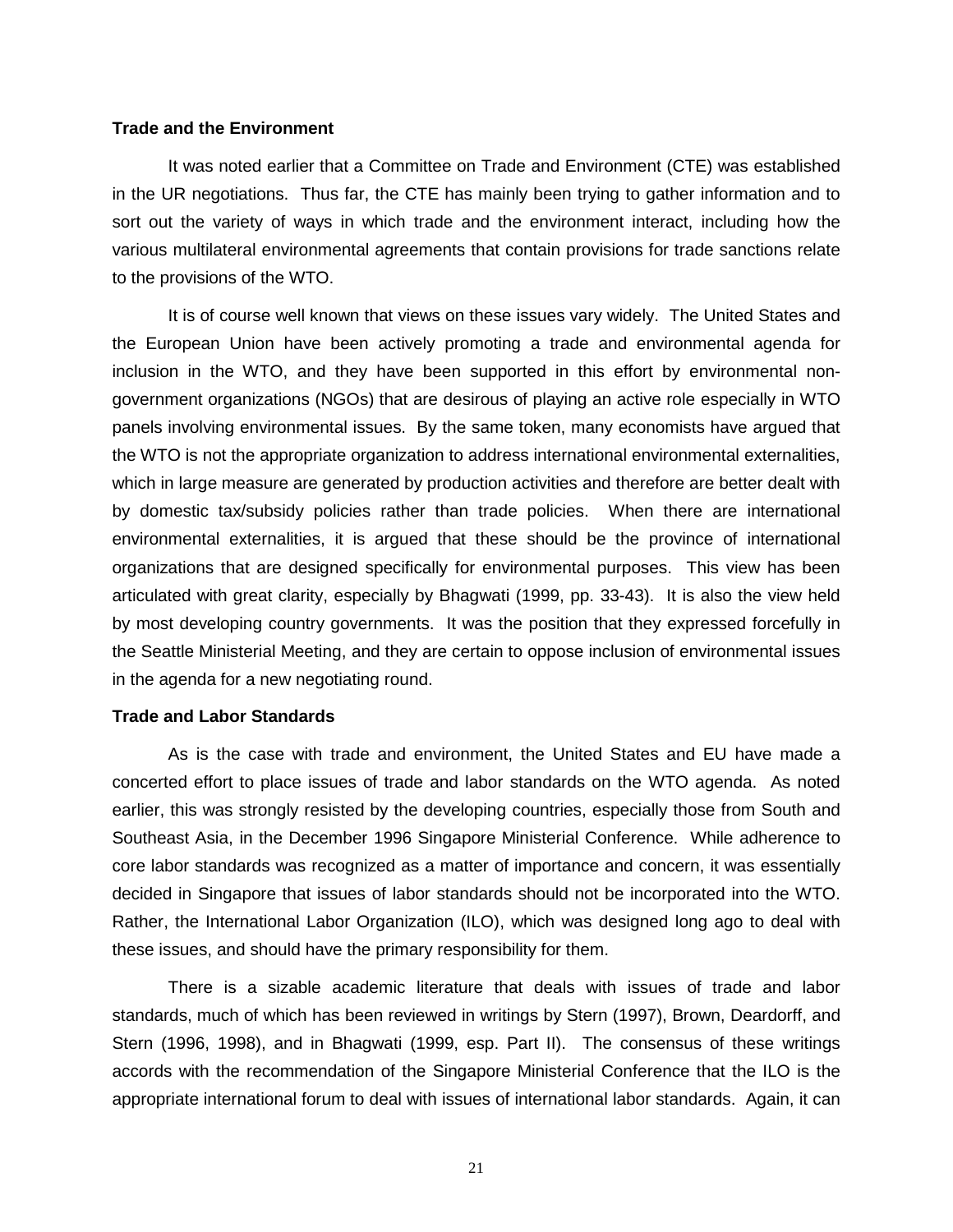#### **Trade and the Environment**

It was noted earlier that a Committee on Trade and Environment (CTE) was established in the UR negotiations. Thus far, the CTE has mainly been trying to gather information and to sort out the variety of ways in which trade and the environment interact, including how the various multilateral environmental agreements that contain provisions for trade sanctions relate to the provisions of the WTO.

It is of course well known that views on these issues vary widely. The United States and the European Union have been actively promoting a trade and environmental agenda for inclusion in the WTO, and they have been supported in this effort by environmental nongovernment organizations (NGOs) that are desirous of playing an active role especially in WTO panels involving environmental issues. By the same token, many economists have argued that the WTO is not the appropriate organization to address international environmental externalities, which in large measure are generated by production activities and therefore are better dealt with by domestic tax/subsidy policies rather than trade policies. When there are international environmental externalities, it is argued that these should be the province of international organizations that are designed specifically for environmental purposes. This view has been articulated with great clarity, especially by Bhagwati (1999, pp. 33-43). It is also the view held by most developing country governments. It was the position that they expressed forcefully in the Seattle Ministerial Meeting, and they are certain to oppose inclusion of environmental issues in the agenda for a new negotiating round.

#### **Trade and Labor Standards**

As is the case with trade and environment, the United States and EU have made a concerted effort to place issues of trade and labor standards on the WTO agenda. As noted earlier, this was strongly resisted by the developing countries, especially those from South and Southeast Asia, in the December 1996 Singapore Ministerial Conference. While adherence to core labor standards was recognized as a matter of importance and concern, it was essentially decided in Singapore that issues of labor standards should not be incorporated into the WTO. Rather, the International Labor Organization (ILO), which was designed long ago to deal with these issues, and should have the primary responsibility for them.

There is a sizable academic literature that deals with issues of trade and labor standards, much of which has been reviewed in writings by Stern (1997), Brown, Deardorff, and Stern (1996, 1998), and in Bhagwati (1999, esp. Part II). The consensus of these writings accords with the recommendation of the Singapore Ministerial Conference that the ILO is the appropriate international forum to deal with issues of international labor standards. Again, it can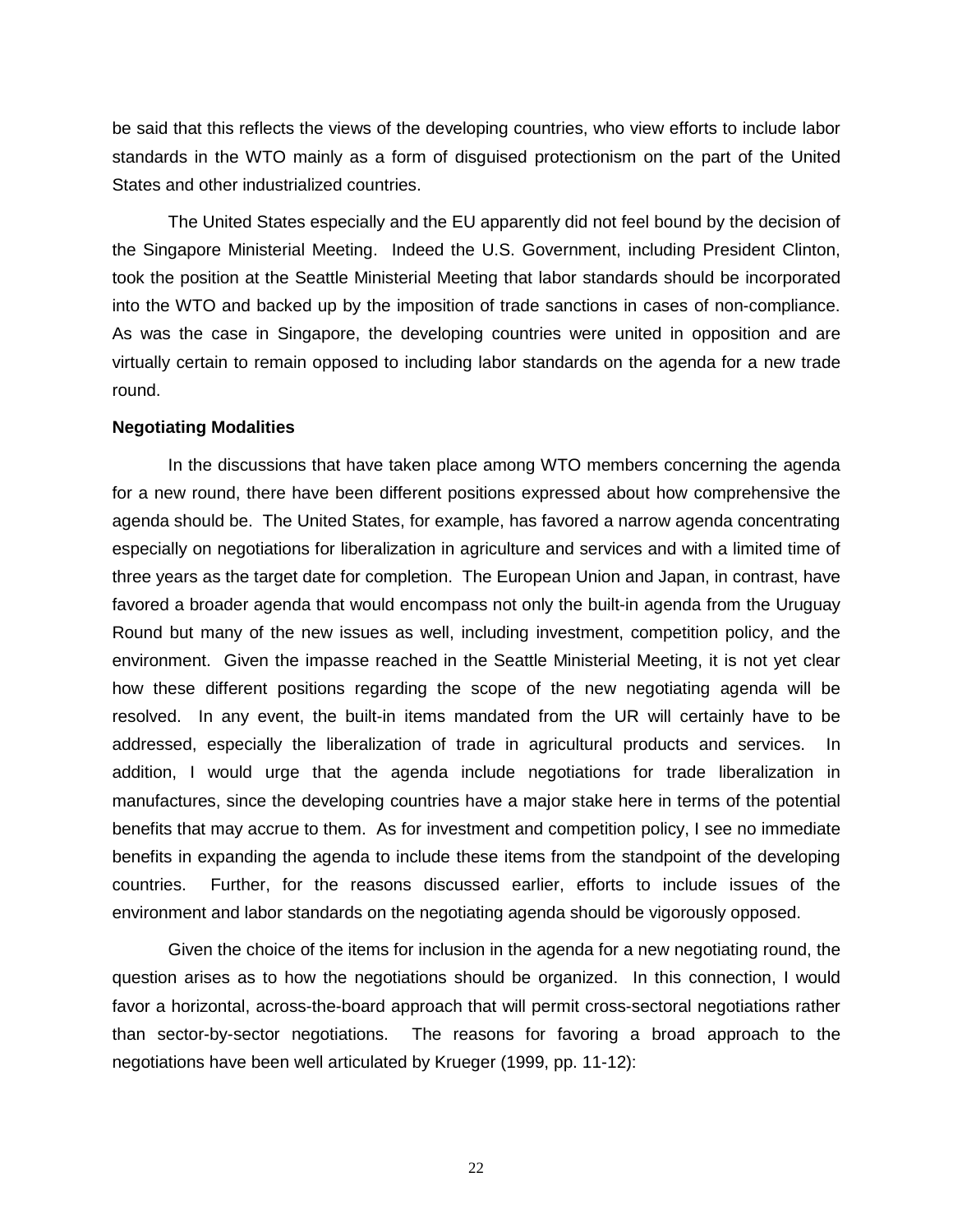be said that this reflects the views of the developing countries, who view efforts to include labor standards in the WTO mainly as a form of disguised protectionism on the part of the United States and other industrialized countries.

The United States especially and the EU apparently did not feel bound by the decision of the Singapore Ministerial Meeting. Indeed the U.S. Government, including President Clinton, took the position at the Seattle Ministerial Meeting that labor standards should be incorporated into the WTO and backed up by the imposition of trade sanctions in cases of non-compliance. As was the case in Singapore, the developing countries were united in opposition and are virtually certain to remain opposed to including labor standards on the agenda for a new trade round.

#### **Negotiating Modalities**

In the discussions that have taken place among WTO members concerning the agenda for a new round, there have been different positions expressed about how comprehensive the agenda should be. The United States, for example, has favored a narrow agenda concentrating especially on negotiations for liberalization in agriculture and services and with a limited time of three years as the target date for completion. The European Union and Japan, in contrast, have favored a broader agenda that would encompass not only the built-in agenda from the Uruguay Round but many of the new issues as well, including investment, competition policy, and the environment. Given the impasse reached in the Seattle Ministerial Meeting, it is not yet clear how these different positions regarding the scope of the new negotiating agenda will be resolved. In any event, the built-in items mandated from the UR will certainly have to be addressed, especially the liberalization of trade in agricultural products and services. In addition, I would urge that the agenda include negotiations for trade liberalization in manufactures, since the developing countries have a major stake here in terms of the potential benefits that may accrue to them. As for investment and competition policy, I see no immediate benefits in expanding the agenda to include these items from the standpoint of the developing countries. Further, for the reasons discussed earlier, efforts to include issues of the environment and labor standards on the negotiating agenda should be vigorously opposed.

Given the choice of the items for inclusion in the agenda for a new negotiating round, the question arises as to how the negotiations should be organized. In this connection, I would favor a horizontal, across-the-board approach that will permit cross-sectoral negotiations rather than sector-by-sector negotiations. The reasons for favoring a broad approach to the negotiations have been well articulated by Krueger (1999, pp. 11-12):

22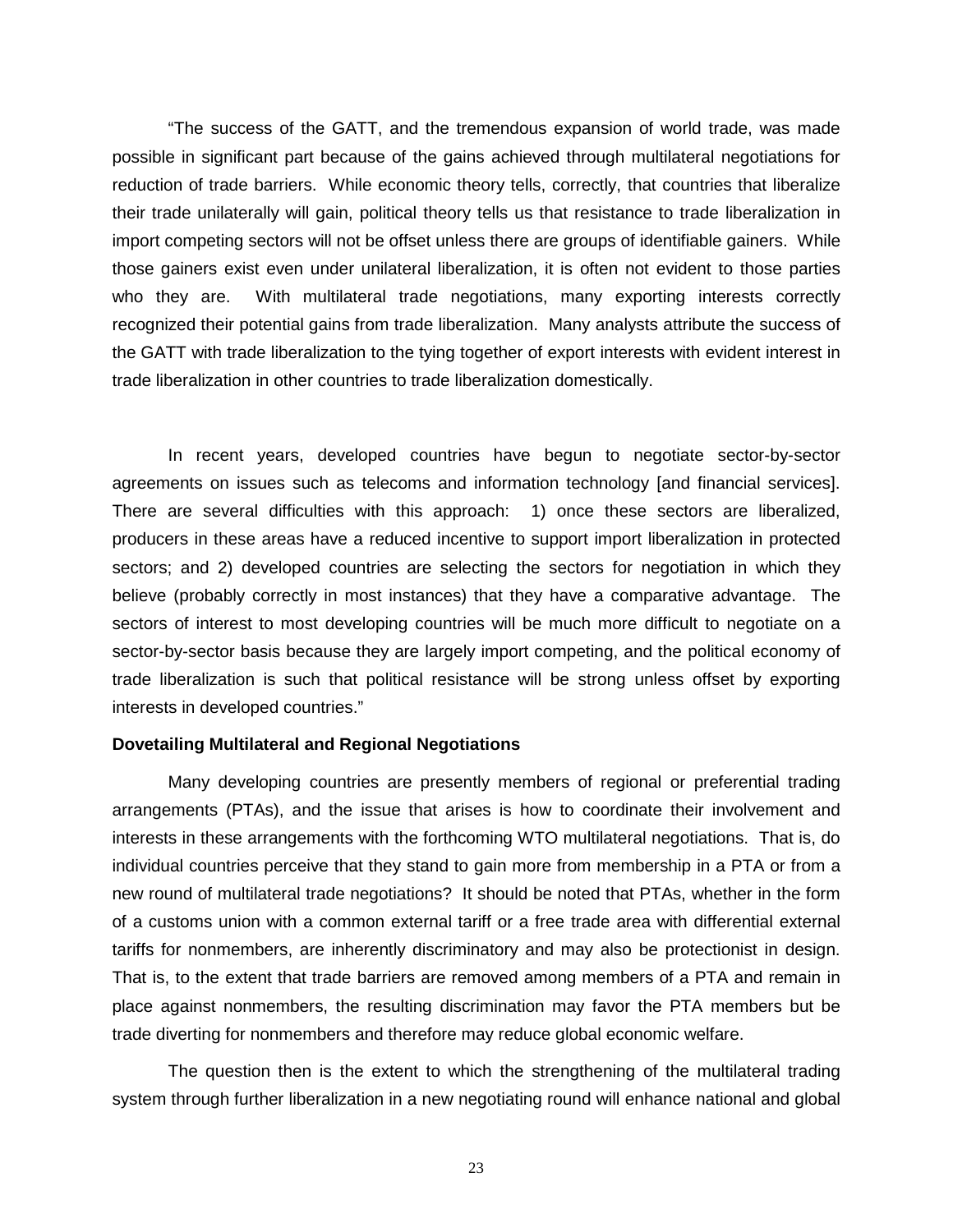"The success of the GATT, and the tremendous expansion of world trade, was made possible in significant part because of the gains achieved through multilateral negotiations for reduction of trade barriers. While economic theory tells, correctly, that countries that liberalize their trade unilaterally will gain, political theory tells us that resistance to trade liberalization in import competing sectors will not be offset unless there are groups of identifiable gainers. While those gainers exist even under unilateral liberalization, it is often not evident to those parties who they are. With multilateral trade negotiations, many exporting interests correctly recognized their potential gains from trade liberalization. Many analysts attribute the success of the GATT with trade liberalization to the tying together of export interests with evident interest in trade liberalization in other countries to trade liberalization domestically.

In recent years, developed countries have begun to negotiate sector-by-sector agreements on issues such as telecoms and information technology [and financial services]. There are several difficulties with this approach: 1) once these sectors are liberalized, producers in these areas have a reduced incentive to support import liberalization in protected sectors; and 2) developed countries are selecting the sectors for negotiation in which they believe (probably correctly in most instances) that they have a comparative advantage. The sectors of interest to most developing countries will be much more difficult to negotiate on a sector-by-sector basis because they are largely import competing, and the political economy of trade liberalization is such that political resistance will be strong unless offset by exporting interests in developed countries."

#### **Dovetailing Multilateral and Regional Negotiations**

Many developing countries are presently members of regional or preferential trading arrangements (PTAs), and the issue that arises is how to coordinate their involvement and interests in these arrangements with the forthcoming WTO multilateral negotiations. That is, do individual countries perceive that they stand to gain more from membership in a PTA or from a new round of multilateral trade negotiations? It should be noted that PTAs, whether in the form of a customs union with a common external tariff or a free trade area with differential external tariffs for nonmembers, are inherently discriminatory and may also be protectionist in design. That is, to the extent that trade barriers are removed among members of a PTA and remain in place against nonmembers, the resulting discrimination may favor the PTA members but be trade diverting for nonmembers and therefore may reduce global economic welfare.

The question then is the extent to which the strengthening of the multilateral trading system through further liberalization in a new negotiating round will enhance national and global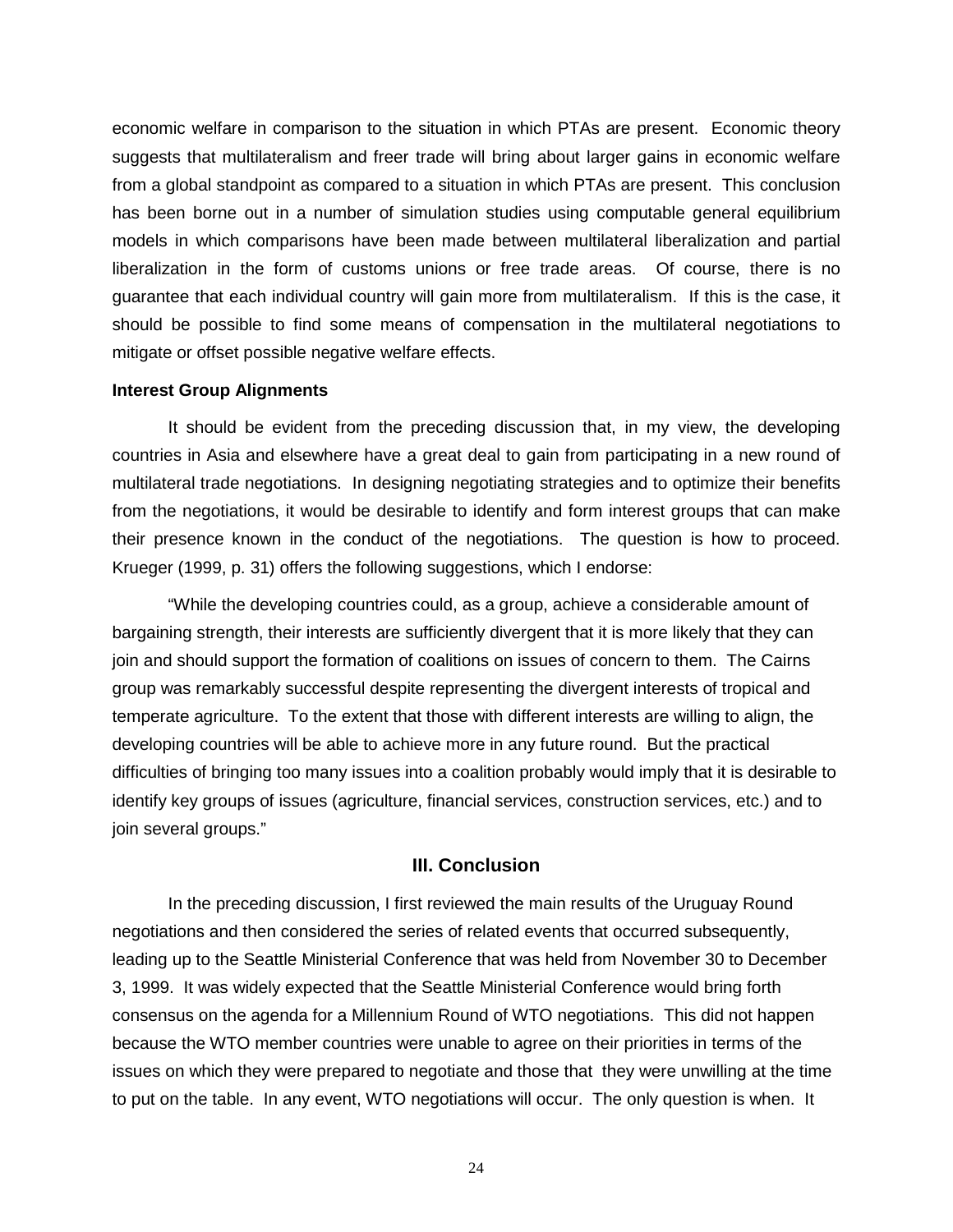economic welfare in comparison to the situation in which PTAs are present. Economic theory suggests that multilateralism and freer trade will bring about larger gains in economic welfare from a global standpoint as compared to a situation in which PTAs are present. This conclusion has been borne out in a number of simulation studies using computable general equilibrium models in which comparisons have been made between multilateral liberalization and partial liberalization in the form of customs unions or free trade areas. Of course, there is no guarantee that each individual country will gain more from multilateralism. If this is the case, it should be possible to find some means of compensation in the multilateral negotiations to mitigate or offset possible negative welfare effects.

#### **Interest Group Alignments**

It should be evident from the preceding discussion that, in my view, the developing countries in Asia and elsewhere have a great deal to gain from participating in a new round of multilateral trade negotiations. In designing negotiating strategies and to optimize their benefits from the negotiations, it would be desirable to identify and form interest groups that can make their presence known in the conduct of the negotiations. The question is how to proceed. Krueger (1999, p. 31) offers the following suggestions, which I endorse:

"While the developing countries could, as a group, achieve a considerable amount of bargaining strength, their interests are sufficiently divergent that it is more likely that they can join and should support the formation of coalitions on issues of concern to them. The Cairns group was remarkably successful despite representing the divergent interests of tropical and temperate agriculture. To the extent that those with different interests are willing to align, the developing countries will be able to achieve more in any future round. But the practical difficulties of bringing too many issues into a coalition probably would imply that it is desirable to identify key groups of issues (agriculture, financial services, construction services, etc.) and to join several groups."

## **III. Conclusion**

In the preceding discussion, I first reviewed the main results of the Uruguay Round negotiations and then considered the series of related events that occurred subsequently, leading up to the Seattle Ministerial Conference that was held from November 30 to December 3, 1999. It was widely expected that the Seattle Ministerial Conference would bring forth consensus on the agenda for a Millennium Round of WTO negotiations. This did not happen because the WTO member countries were unable to agree on their priorities in terms of the issues on which they were prepared to negotiate and those that they were unwilling at the time to put on the table. In any event, WTO negotiations will occur. The only question is when. It

24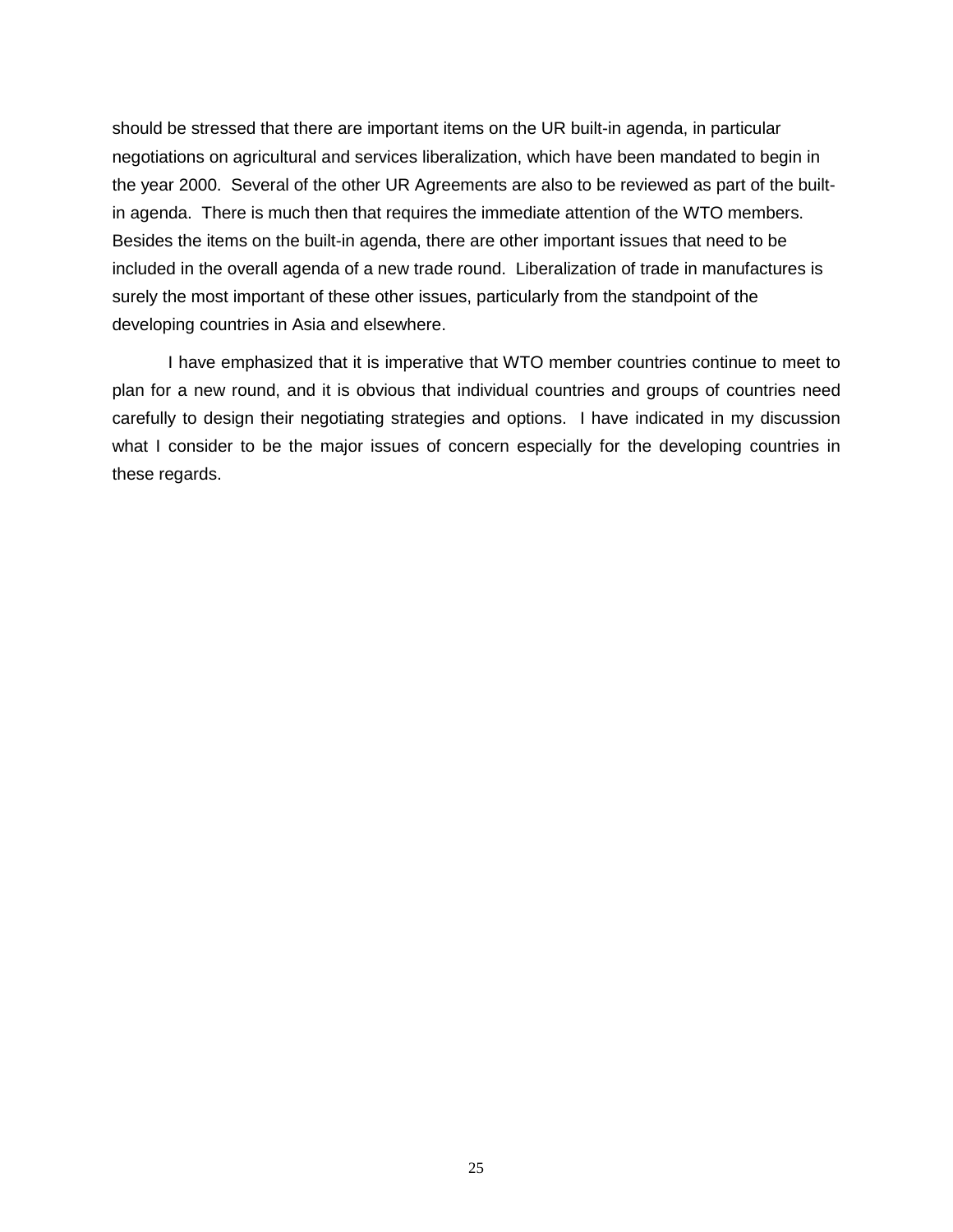should be stressed that there are important items on the UR built-in agenda, in particular negotiations on agricultural and services liberalization, which have been mandated to begin in the year 2000. Several of the other UR Agreements are also to be reviewed as part of the builtin agenda. There is much then that requires the immediate attention of the WTO members. Besides the items on the built-in agenda, there are other important issues that need to be included in the overall agenda of a new trade round. Liberalization of trade in manufactures is surely the most important of these other issues, particularly from the standpoint of the developing countries in Asia and elsewhere.

I have emphasized that it is imperative that WTO member countries continue to meet to plan for a new round, and it is obvious that individual countries and groups of countries need carefully to design their negotiating strategies and options. I have indicated in my discussion what I consider to be the major issues of concern especially for the developing countries in these regards.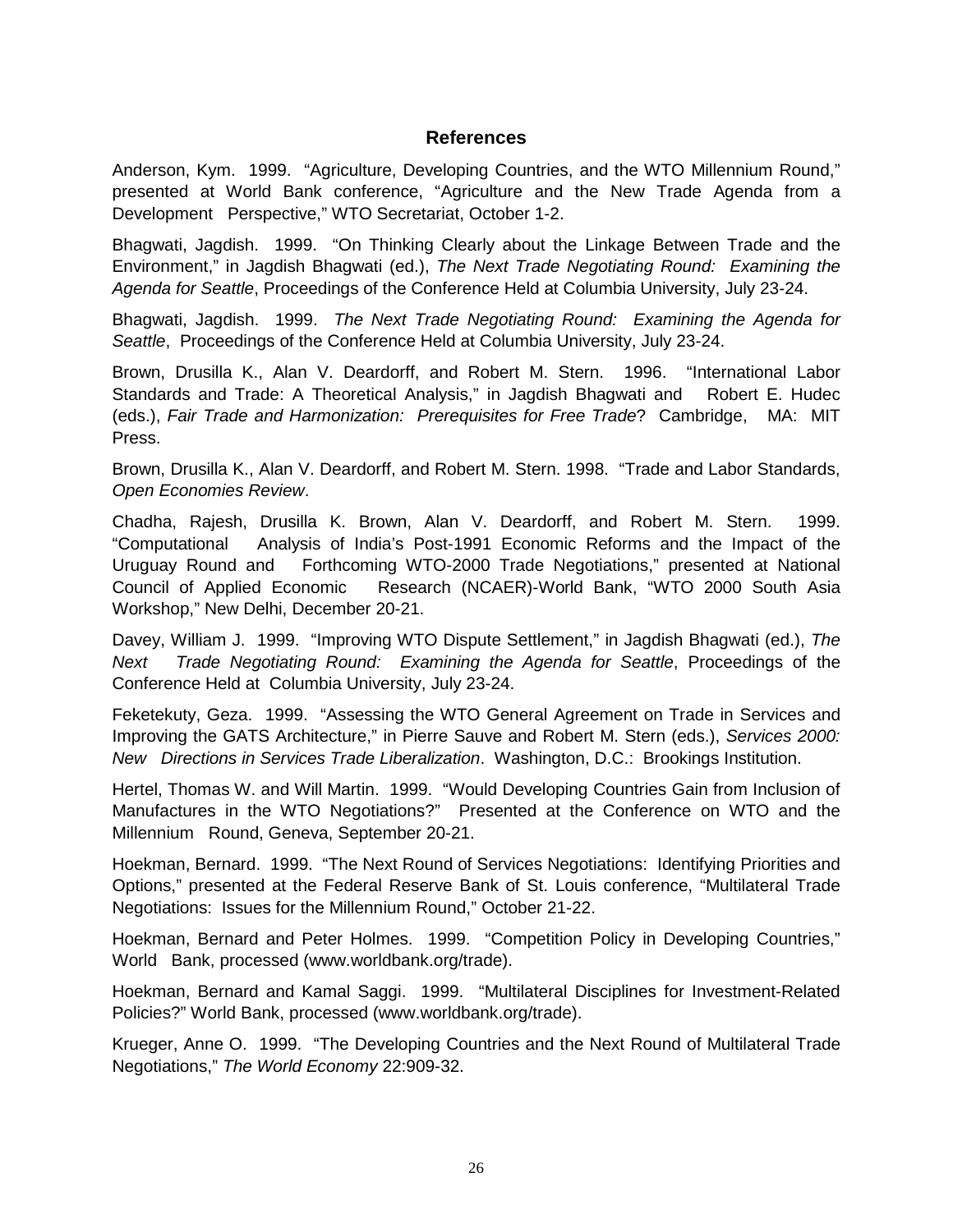## **References**

Anderson, Kym. 1999. "Agriculture, Developing Countries, and the WTO Millennium Round," presented at World Bank conference, "Agriculture and the New Trade Agenda from a Development Perspective," WTO Secretariat, October 1-2.

Bhagwati, Jagdish. 1999. "On Thinking Clearly about the Linkage Between Trade and the Environment," in Jagdish Bhagwati (ed.), The Next Trade Negotiating Round: Examining the Agenda for Seattle, Proceedings of the Conference Held at Columbia University, July 23-24.

Bhagwati, Jagdish. 1999. The Next Trade Negotiating Round: Examining the Agenda for Seattle, Proceedings of the Conference Held at Columbia University, July 23-24.

Brown, Drusilla K., Alan V. Deardorff, and Robert M. Stern. 1996. "International Labor Standards and Trade: A Theoretical Analysis," in Jagdish Bhagwati and Robert E. Hudec (eds.), Fair Trade and Harmonization: Prerequisites for Free Trade? Cambridge, MA: MIT Press.

Brown, Drusilla K., Alan V. Deardorff, and Robert M. Stern. 1998. "Trade and Labor Standards, Open Economies Review.

Chadha, Rajesh, Drusilla K. Brown, Alan V. Deardorff, and Robert M. Stern. 1999. "Computational Analysis of India's Post-1991 Economic Reforms and the Impact of the Uruguay Round and Forthcoming WTO-2000 Trade Negotiations," presented at National Council of Applied Economic Research (NCAER)-World Bank, "WTO 2000 South Asia Workshop," New Delhi, December 20-21.

Davey, William J. 1999. "Improving WTO Dispute Settlement," in Jagdish Bhagwati (ed.), The Next Trade Negotiating Round: Examining the Agenda for Seattle, Proceedings of the Conference Held at Columbia University, July 23-24.

Feketekuty, Geza. 1999. "Assessing the WTO General Agreement on Trade in Services and Improving the GATS Architecture," in Pierre Sauve and Robert M. Stern (eds.), Services 2000: New Directions in Services Trade Liberalization. Washington, D.C.: Brookings Institution.

Hertel, Thomas W. and Will Martin. 1999. "Would Developing Countries Gain from Inclusion of Manufactures in the WTO Negotiations?" Presented at the Conference on WTO and the Millennium Round, Geneva, September 20-21.

Hoekman, Bernard. 1999. "The Next Round of Services Negotiations: Identifying Priorities and Options," presented at the Federal Reserve Bank of St. Louis conference, "Multilateral Trade Negotiations: Issues for the Millennium Round," October 21-22.

Hoekman, Bernard and Peter Holmes. 1999. "Competition Policy in Developing Countries," World Bank, processed (www.worldbank.org/trade).

Hoekman, Bernard and Kamal Saggi. 1999. "Multilateral Disciplines for Investment-Related Policies?" World Bank, processed (www.worldbank.org/trade).

Krueger, Anne O. 1999. "The Developing Countries and the Next Round of Multilateral Trade Negotiations," The World Economy 22:909-32.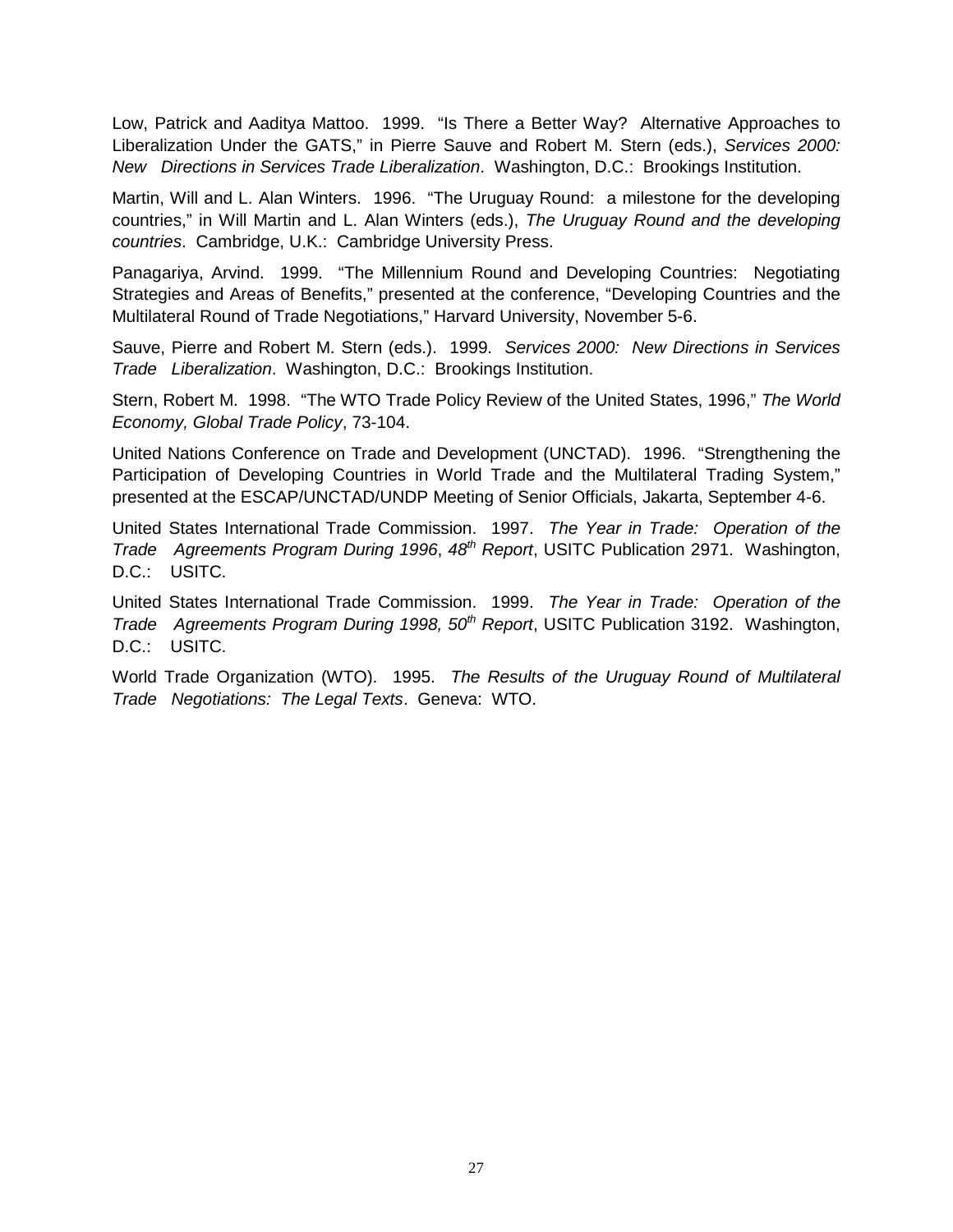Low, Patrick and Aaditya Mattoo. 1999. "Is There a Better Way? Alternative Approaches to Liberalization Under the GATS," in Pierre Sauve and Robert M. Stern (eds.), Services 2000: New Directions in Services Trade Liberalization. Washington, D.C.: Brookings Institution.

Martin, Will and L. Alan Winters. 1996. "The Uruguay Round: a milestone for the developing countries," in Will Martin and L. Alan Winters (eds.), The Uruguay Round and the developing countries. Cambridge, U.K.: Cambridge University Press.

Panagariya, Arvind. 1999. "The Millennium Round and Developing Countries: Negotiating Strategies and Areas of Benefits," presented at the conference, "Developing Countries and the Multilateral Round of Trade Negotiations," Harvard University, November 5-6.

Sauve, Pierre and Robert M. Stern (eds.). 1999. Services 2000: New Directions in Services Trade Liberalization. Washington, D.C.: Brookings Institution.

Stern, Robert M. 1998. "The WTO Trade Policy Review of the United States, 1996," The World Economy, Global Trade Policy, 73-104.

United Nations Conference on Trade and Development (UNCTAD). 1996. "Strengthening the Participation of Developing Countries in World Trade and the Multilateral Trading System," presented at the ESCAP/UNCTAD/UNDP Meeting of Senior Officials, Jakarta, September 4-6.

United States International Trade Commission. 1997. The Year in Trade: Operation of the Trade Agreements Program During 1996, 48<sup>th</sup> Report, USITC Publication 2971. Washington, D.C.: USITC.

United States International Trade Commission. 1999. The Year in Trade: Operation of the Trade Agreements Program During 1998,  $50<sup>th</sup>$  Report, USITC Publication 3192. Washington, D.C.: USITC.

World Trade Organization (WTO). 1995. The Results of the Uruguay Round of Multilateral Trade Negotiations: The Legal Texts. Geneva: WTO.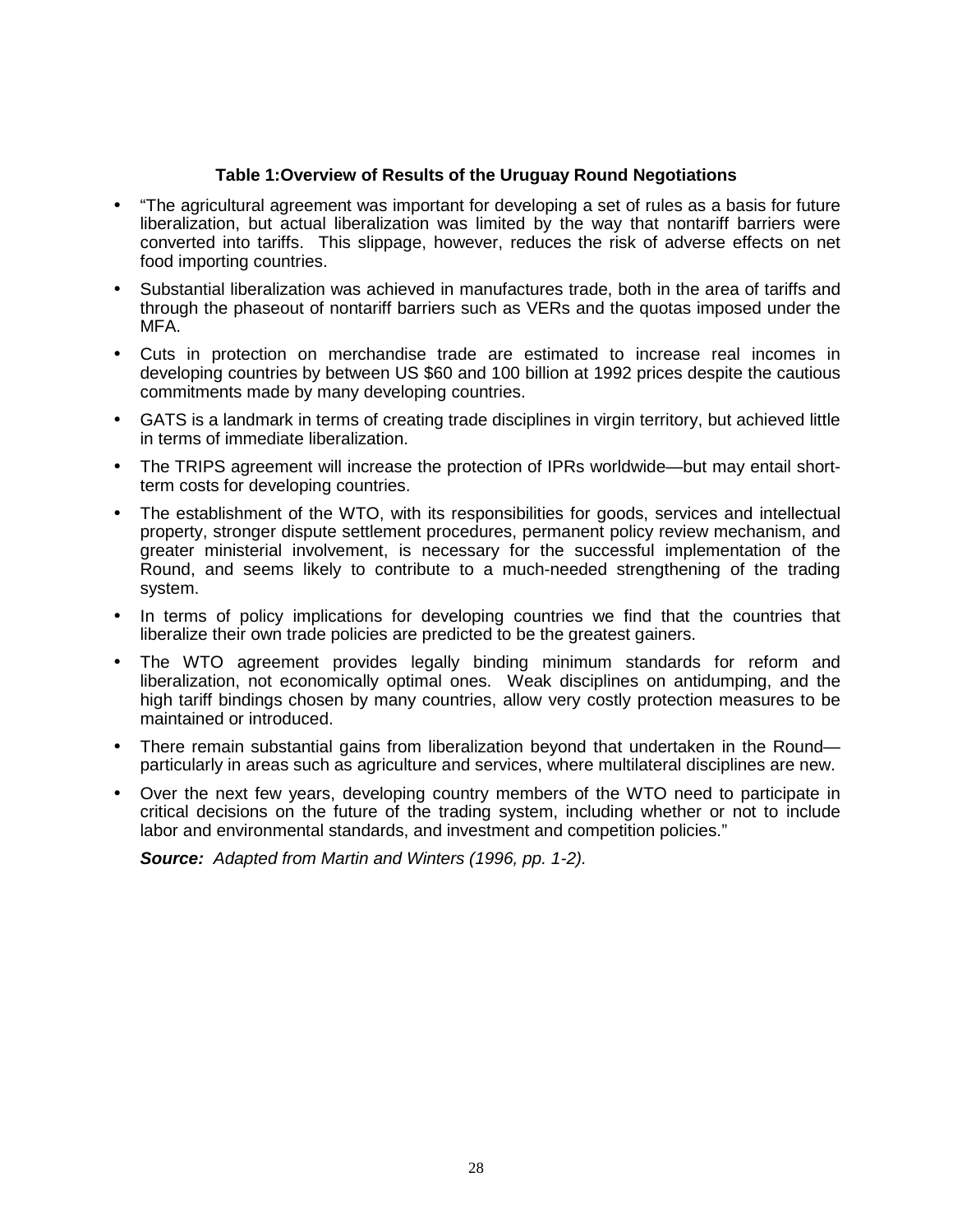## **Table 1:Overview of Results of the Uruguay Round Negotiations**

- "The agricultural agreement was important for developing a set of rules as a basis for future liberalization, but actual liberalization was limited by the way that nontariff barriers were converted into tariffs. This slippage, however, reduces the risk of adverse effects on net food importing countries.
- Substantial liberalization was achieved in manufactures trade, both in the area of tariffs and through the phaseout of nontariff barriers such as VERs and the quotas imposed under the MFA.
- Cuts in protection on merchandise trade are estimated to increase real incomes in developing countries by between US \$60 and 100 billion at 1992 prices despite the cautious commitments made by many developing countries.
- GATS is a landmark in terms of creating trade disciplines in virgin territory, but achieved little in terms of immediate liberalization.
- The TRIPS agreement will increase the protection of IPRs worldwide—but may entail shortterm costs for developing countries.
- The establishment of the WTO, with its responsibilities for goods, services and intellectual property, stronger dispute settlement procedures, permanent policy review mechanism, and greater ministerial involvement, is necessary for the successful implementation of the Round, and seems likely to contribute to a much-needed strengthening of the trading system.
- In terms of policy implications for developing countries we find that the countries that liberalize their own trade policies are predicted to be the greatest gainers.
- The WTO agreement provides legally binding minimum standards for reform and liberalization, not economically optimal ones. Weak disciplines on antidumping, and the high tariff bindings chosen by many countries, allow very costly protection measures to be maintained or introduced.
- There remain substantial gains from liberalization beyond that undertaken in the Round particularly in areas such as agriculture and services, where multilateral disciplines are new.
- Over the next few years, developing country members of the WTO need to participate in critical decisions on the future of the trading system, including whether or not to include labor and environmental standards, and investment and competition policies."

**Source:** Adapted from Martin and Winters (1996, pp. 1-2).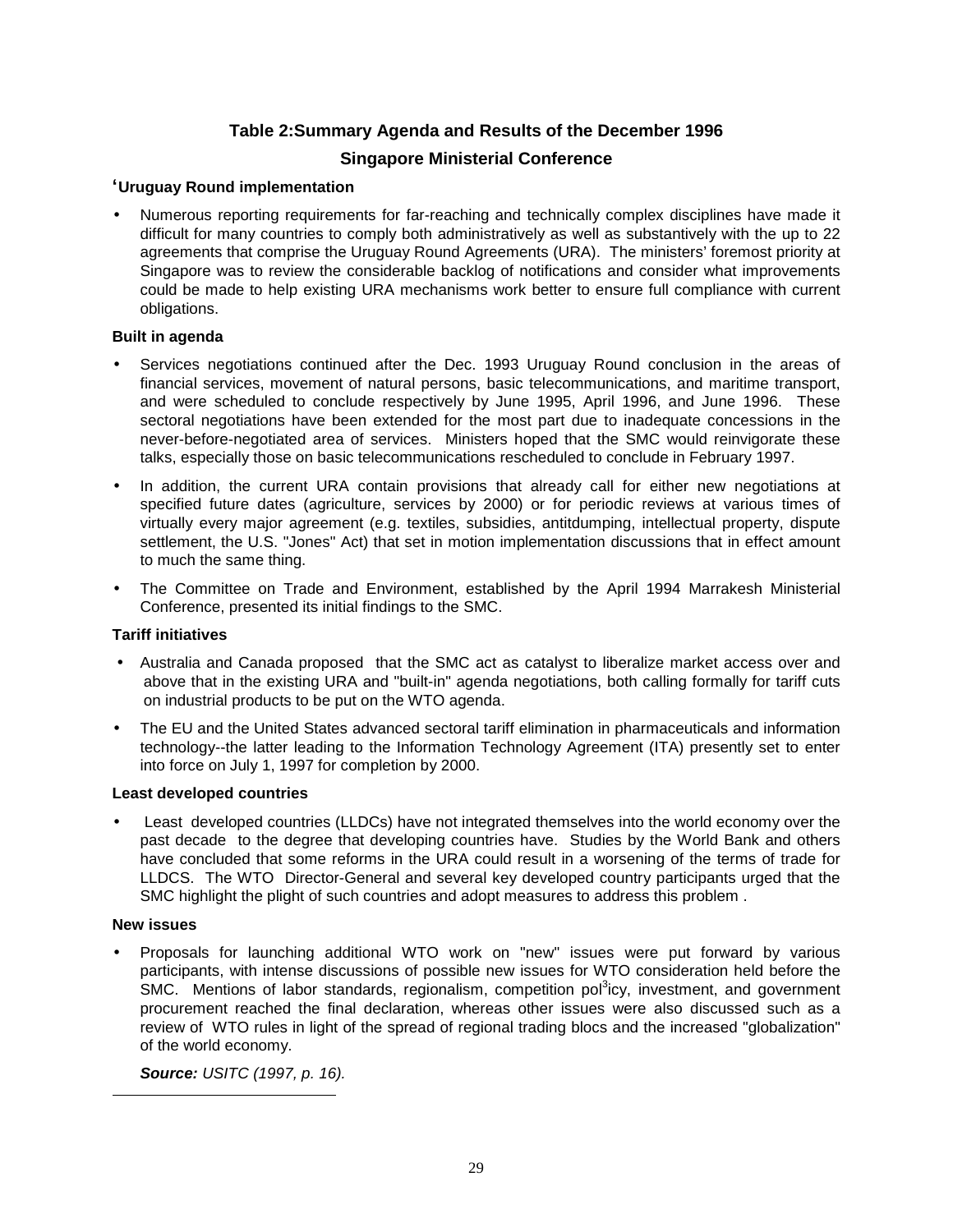## **Table 2:Summary Agenda and Results of the December 1996**

## **Singapore Ministerial Conference**

#### **'Uruguay Round implementation**

• Numerous reporting requirements for far-reaching and technically complex disciplines have made it difficult for many countries to comply both administratively as well as substantively with the up to 22 agreements that comprise the Uruguay Round Agreements (URA). The ministers' foremost priority at Singapore was to review the considerable backlog of notifications and consider what improvements could be made to help existing URA mechanisms work better to ensure full compliance with current obligations.

#### **Built in agenda**

- Services negotiations continued after the Dec. 1993 Uruguay Round conclusion in the areas of financial services, movement of natural persons, basic telecommunications, and maritime transport, and were scheduled to conclude respectively by June 1995, April 1996, and June 1996. These sectoral negotiations have been extended for the most part due to inadequate concessions in the never-before-negotiated area of services. Ministers hoped that the SMC would reinvigorate these talks, especially those on basic telecommunications rescheduled to conclude in February 1997.
- In addition, the current URA contain provisions that already call for either new negotiations at specified future dates (agriculture, services by 2000) or for periodic reviews at various times of virtually every major agreement (e.g. textiles, subsidies, antitdumping, intellectual property, dispute settlement, the U.S. "Jones" Act) that set in motion implementation discussions that in effect amount to much the same thing.
- The Committee on Trade and Environment, established by the April 1994 Marrakesh Ministerial Conference, presented its initial findings to the SMC.

#### **Tariff initiatives**

- Australia and Canada proposed that the SMC act as catalyst to liberalize market access over and above that in the existing URA and "built-in" agenda negotiations, both calling formally for tariff cuts on industrial products to be put on the WTO agenda.
- The EU and the United States advanced sectoral tariff elimination in pharmaceuticals and information technology--the latter leading to the Information Technology Agreement (ITA) presently set to enter into force on July 1, 1997 for completion by 2000.

#### **Least developed countries**

Least developed countries (LLDCs) have not integrated themselves into the world economy over the past decade to the degree that developing countries have. Studies by the World Bank and others have concluded that some reforms in the URA could result in a worsening of the terms of trade for LLDCS. The WTO Director-General and several key developed country participants urged that the SMC highlight the plight of such countries and adopt measures to address this problem .

#### **New issues**

 $\overline{a}$ 

• Proposals for launching additional WTO work on "new" issues were put forward by various participants, with intense discussions of possible new issues for WTO consideration held before the .<br>SMC. Mentions of labor standards, regionalism, competition pol<sup>3</sup>icy, investment, and government procurement reached the final declaration, whereas other issues were also discussed such as a review of WTO rules in light of the spread of regional trading blocs and the increased "globalization" of the world economy.

**Source:** USITC (1997, p. 16).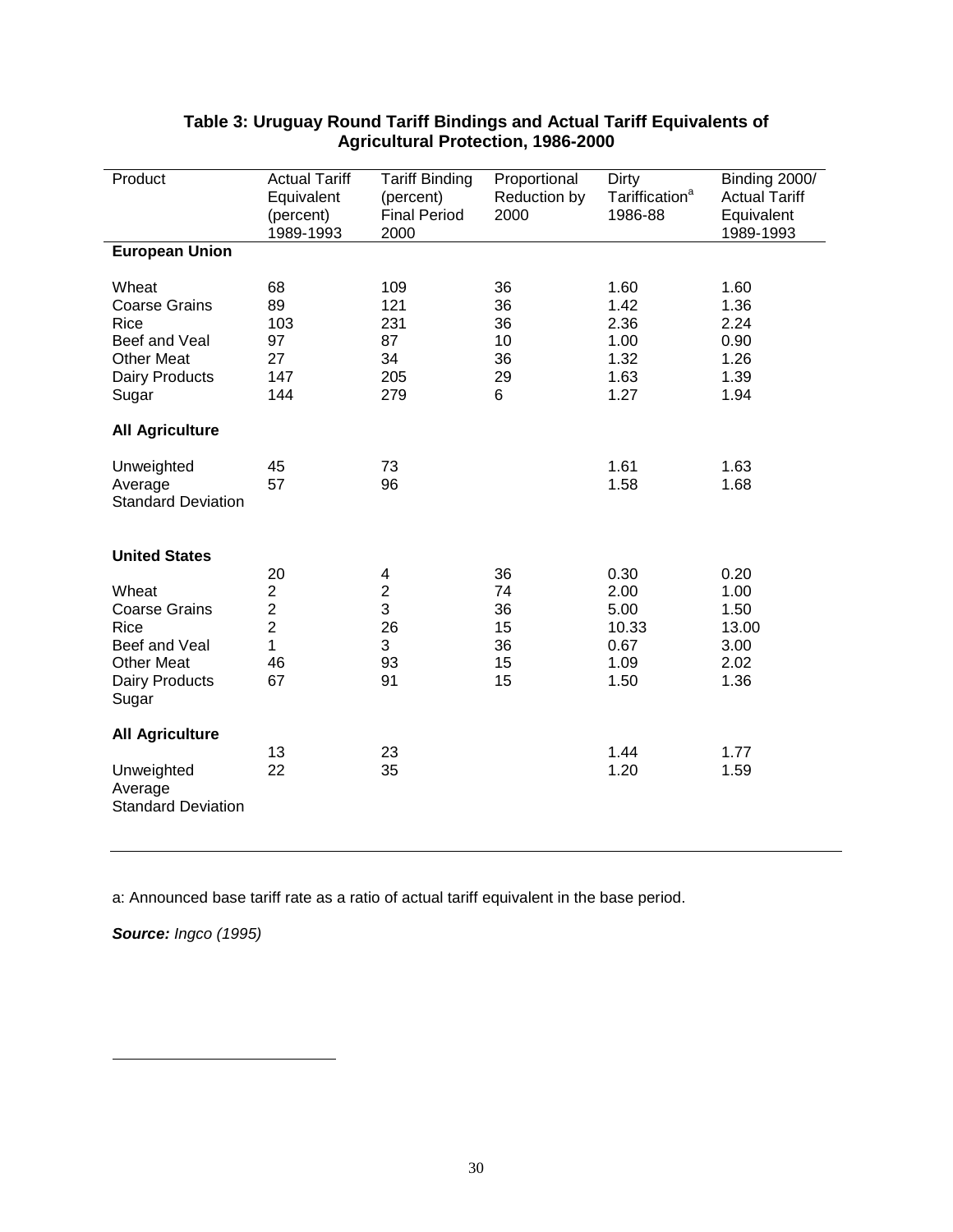| Product                                                                                                                               | <b>Actual Tariff</b><br>Equivalent<br>(percent)<br>1989-1993                         | <b>Tariff Binding</b><br>(percent)<br><b>Final Period</b><br>2000 | Proportional<br>Reduction by<br>2000   | Dirty<br>Tariffication <sup>a</sup><br>1986-88        | Binding 2000/<br><b>Actual Tariff</b><br>Equivalent<br>1989-1993 |
|---------------------------------------------------------------------------------------------------------------------------------------|--------------------------------------------------------------------------------------|-------------------------------------------------------------------|----------------------------------------|-------------------------------------------------------|------------------------------------------------------------------|
| <b>European Union</b>                                                                                                                 |                                                                                      |                                                                   |                                        |                                                       |                                                                  |
| Wheat<br><b>Coarse Grains</b><br><b>Rice</b><br>Beef and Veal<br><b>Other Meat</b><br>Dairy Products<br>Sugar                         | 68<br>89<br>103<br>97<br>27<br>147<br>144                                            | 109<br>121<br>231<br>87<br>34<br>205<br>279                       | 36<br>36<br>36<br>10<br>36<br>29<br>6  | 1.60<br>1.42<br>2.36<br>1.00<br>1.32<br>1.63<br>1.27  | 1.60<br>1.36<br>2.24<br>0.90<br>1.26<br>1.39<br>1.94             |
| <b>All Agriculture</b>                                                                                                                |                                                                                      |                                                                   |                                        |                                                       |                                                                  |
| Unweighted<br>Average<br><b>Standard Deviation</b>                                                                                    | 45<br>57                                                                             | 73<br>96                                                          |                                        | 1.61<br>1.58                                          | 1.63<br>1.68                                                     |
| <b>United States</b><br>Wheat<br><b>Coarse Grains</b><br>Rice<br><b>Beef and Veal</b><br><b>Other Meat</b><br>Dairy Products<br>Sugar | 20<br>$\overline{2}$<br>$\overline{2}$<br>$\overline{2}$<br>$\mathbf{1}$<br>46<br>67 | 4<br>$\overline{2}$<br>3<br>26<br>3<br>93<br>91                   | 36<br>74<br>36<br>15<br>36<br>15<br>15 | 0.30<br>2.00<br>5.00<br>10.33<br>0.67<br>1.09<br>1.50 | 0.20<br>1.00<br>1.50<br>13.00<br>3.00<br>2.02<br>1.36            |
| <b>All Agriculture</b><br>Unweighted<br>Average<br><b>Standard Deviation</b>                                                          | 13<br>22                                                                             | 23<br>35                                                          |                                        | 1.44<br>1.20                                          | 1.77<br>1.59                                                     |

## **Table 3: Uruguay Round Tariff Bindings and Actual Tariff Equivalents of Agricultural Protection, 1986-2000**

a: Announced base tariff rate as a ratio of actual tariff equivalent in the base period.

**Source:** Ingco (1995)

 $\overline{a}$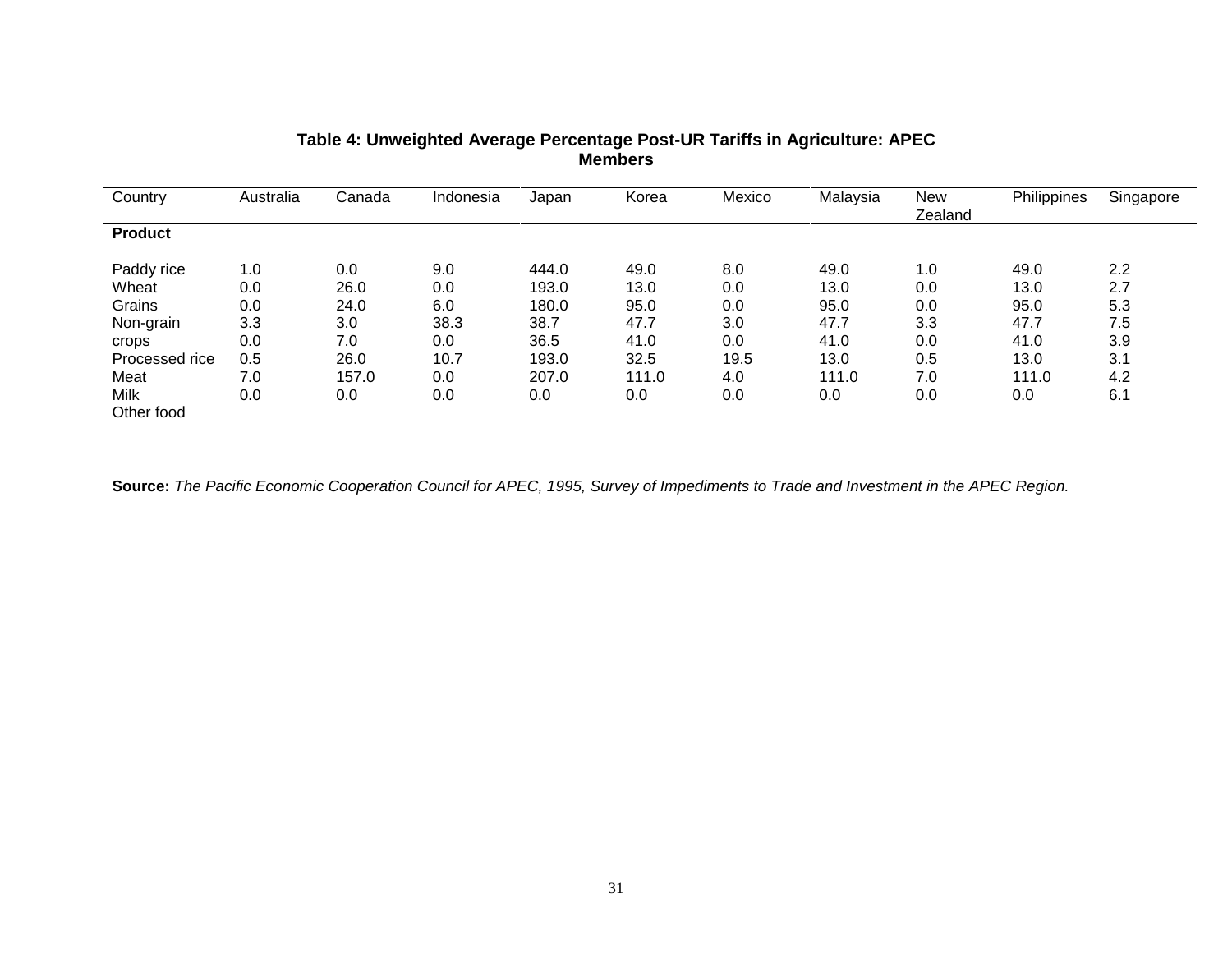| Country        | Australia | Canada | Indonesia | Japan | Korea | Mexico | Malaysia | New<br>Zealand | Philippines | Singapore |
|----------------|-----------|--------|-----------|-------|-------|--------|----------|----------------|-------------|-----------|
| <b>Product</b> |           |        |           |       |       |        |          |                |             |           |
| Paddy rice     | 1.0       | 0.0    | 9.0       | 444.0 | 49.0  | 8.0    | 49.0     | 1.0            | 49.0        | 2.2       |
| Wheat          | 0.0       | 26.0   | 0.0       | 193.0 | 13.0  | 0.0    | 13.0     | 0.0            | 13.0        | 2.7       |
| Grains         | 0.0       | 24.0   | 6.0       | 180.0 | 95.0  | 0.0    | 95.0     | 0.0            | 95.0        | 5.3       |
| Non-grain      | 3.3       | 3.0    | 38.3      | 38.7  | 47.7  | 3.0    | 47.7     | 3.3            | 47.7        | 7.5       |
| crops          | 0.0       | 7.0    | 0.0       | 36.5  | 41.0  | 0.0    | 41.0     | 0.0            | 41.0        | 3.9       |
| Processed rice | 0.5       | 26.0   | 10.7      | 193.0 | 32.5  | 19.5   | 13.0     | 0.5            | 13.0        | 3.1       |
| Meat           | 7.0       | 157.0  | 0.0       | 207.0 | 111.0 | 4.0    | 111.0    | 7.0            | 111.0       | 4.2       |
| Milk           | 0.0       | 0.0    | 0.0       | 0.0   | 0.0   | 0.0    | 0.0      | 0.0            | 0.0         | 6.1       |
| Other food     |           |        |           |       |       |        |          |                |             |           |
|                |           |        |           |       |       |        |          |                |             |           |
|                |           |        |           |       |       |        |          |                |             |           |

## **Table 4: Unweighted Average Percentage Post-UR Tariffs in Agriculture: APEC Members**

**Source:** The Pacific Economic Cooperation Council for APEC, 1995, Survey of Impediments to Trade and Investment in the APEC Region.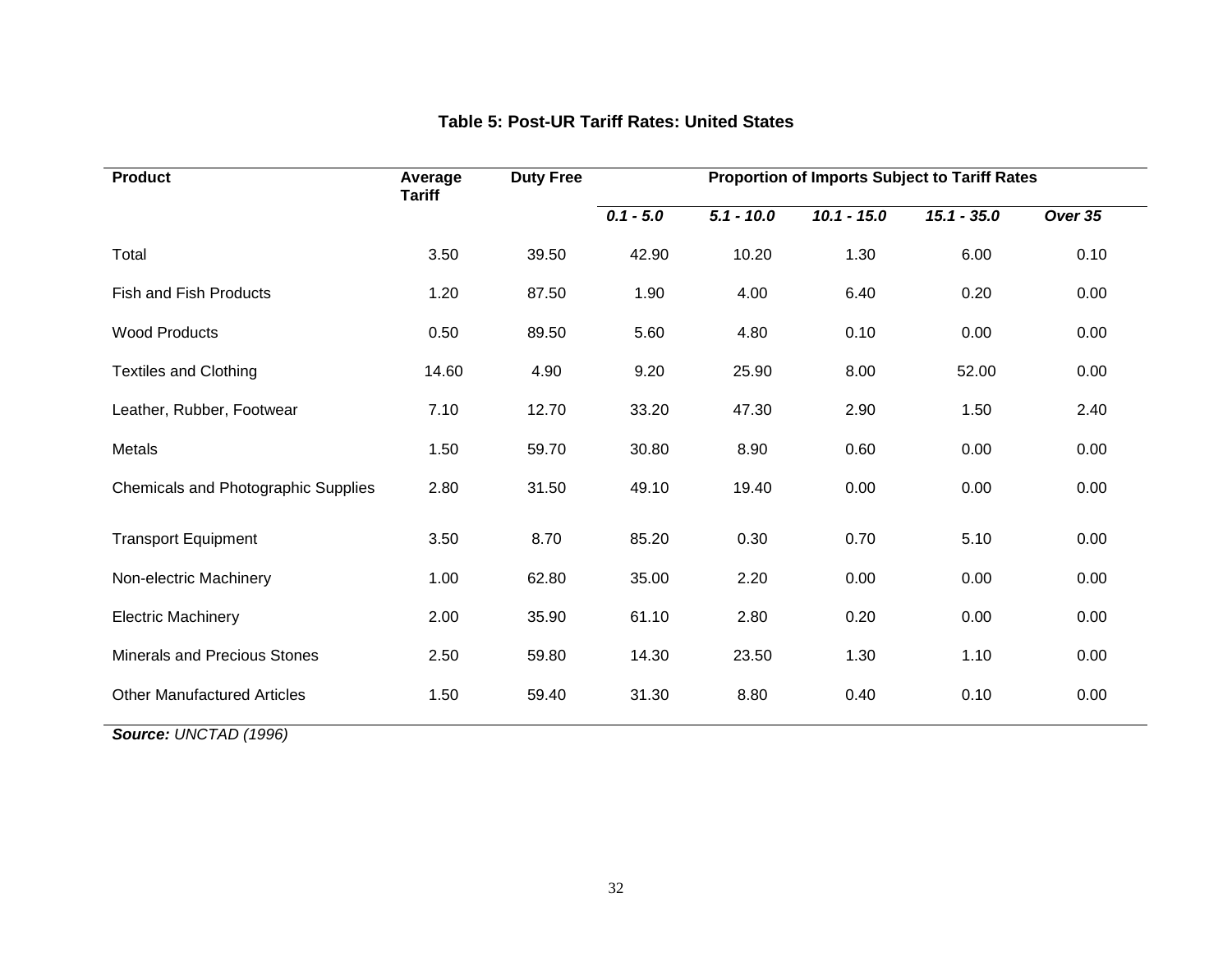| <b>Product</b>                      | Average<br><b>Tariff</b> | <b>Duty Free</b> | Proportion of Imports Subject to Tariff Rates |              |               |               |         |  |
|-------------------------------------|--------------------------|------------------|-----------------------------------------------|--------------|---------------|---------------|---------|--|
|                                     |                          |                  | $0.1 - 5.0$                                   | $5.1 - 10.0$ | $10.1 - 15.0$ | $15.1 - 35.0$ | Over 35 |  |
| Total                               | 3.50                     | 39.50            | 42.90                                         | 10.20        | 1.30          | 6.00          | 0.10    |  |
| <b>Fish and Fish Products</b>       | 1.20                     | 87.50            | 1.90                                          | 4.00         | 6.40          | 0.20          | 0.00    |  |
| <b>Wood Products</b>                | 0.50                     | 89.50            | 5.60                                          | 4.80         | 0.10          | 0.00          | 0.00    |  |
| <b>Textiles and Clothing</b>        | 14.60                    | 4.90             | 9.20                                          | 25.90        | 8.00          | 52.00         | 0.00    |  |
| Leather, Rubber, Footwear           | 7.10                     | 12.70            | 33.20                                         | 47.30        | 2.90          | 1.50          | 2.40    |  |
| Metals                              | 1.50                     | 59.70            | 30.80                                         | 8.90         | 0.60          | 0.00          | 0.00    |  |
| Chemicals and Photographic Supplies | 2.80                     | 31.50            | 49.10                                         | 19.40        | 0.00          | 0.00          | 0.00    |  |
| <b>Transport Equipment</b>          | 3.50                     | 8.70             | 85.20                                         | 0.30         | 0.70          | 5.10          | 0.00    |  |
| Non-electric Machinery              | 1.00                     | 62.80            | 35.00                                         | 2.20         | 0.00          | 0.00          | 0.00    |  |
| <b>Electric Machinery</b>           | 2.00                     | 35.90            | 61.10                                         | 2.80         | 0.20          | 0.00          | 0.00    |  |
| <b>Minerals and Precious Stones</b> | 2.50                     | 59.80            | 14.30                                         | 23.50        | 1.30          | 1.10          | 0.00    |  |
| <b>Other Manufactured Articles</b>  | 1.50                     | 59.40            | 31.30                                         | 8.80         | 0.40          | 0.10          | 0.00    |  |

#### **Table 5: Post-UR Tariff Rates: United States**

**Source:** UNCTAD (1996)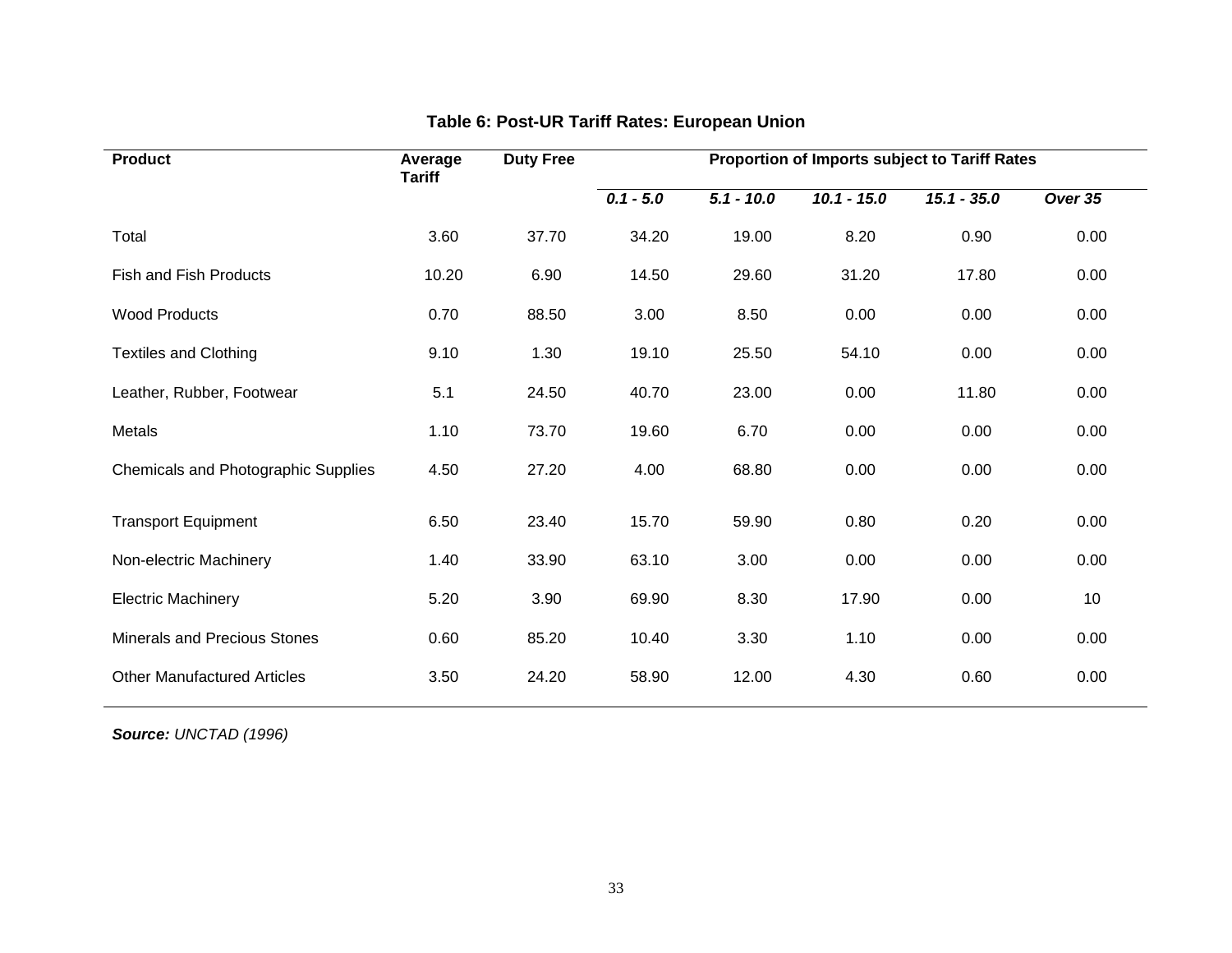| Average | <b>Duty Free</b> | Proportion of Imports subject to Tariff Rates |              |               |               |         |  |
|---------|------------------|-----------------------------------------------|--------------|---------------|---------------|---------|--|
|         |                  | $0.1 - 5.0$                                   | $5.1 - 10.0$ | $10.1 - 15.0$ | $15.1 - 35.0$ | Over 35 |  |
| 3.60    | 37.70            | 34.20                                         | 19.00        | 8.20          | 0.90          | 0.00    |  |
| 10.20   | 6.90             | 14.50                                         | 29.60        | 31.20         | 17.80         | 0.00    |  |
| 0.70    | 88.50            | 3.00                                          | 8.50         | 0.00          | 0.00          | 0.00    |  |
| 9.10    | 1.30             | 19.10                                         | 25.50        | 54.10         | 0.00          | 0.00    |  |
| 5.1     | 24.50            | 40.70                                         | 23.00        | 0.00          | 11.80         | 0.00    |  |
| 1.10    | 73.70            | 19.60                                         | 6.70         | 0.00          | 0.00          | 0.00    |  |
| 4.50    | 27.20            | 4.00                                          | 68.80        | 0.00          | 0.00          | 0.00    |  |
| 6.50    | 23.40            | 15.70                                         | 59.90        | 0.80          | 0.20          | 0.00    |  |
| 1.40    | 33.90            | 63.10                                         | 3.00         | 0.00          | 0.00          | 0.00    |  |
| 5.20    | 3.90             | 69.90                                         | 8.30         | 17.90         | 0.00          | 10      |  |
| 0.60    | 85.20            | 10.40                                         | 3.30         | 1.10          | 0.00          | 0.00    |  |
| 3.50    | 24.20            | 58.90                                         | 12.00        | 4.30          | 0.60          | 0.00    |  |
|         | <b>Tariff</b>    |                                               |              |               |               |         |  |

## **Table 6: Post-UR Tariff Rates: European Union**

**Source:** UNCTAD (1996)